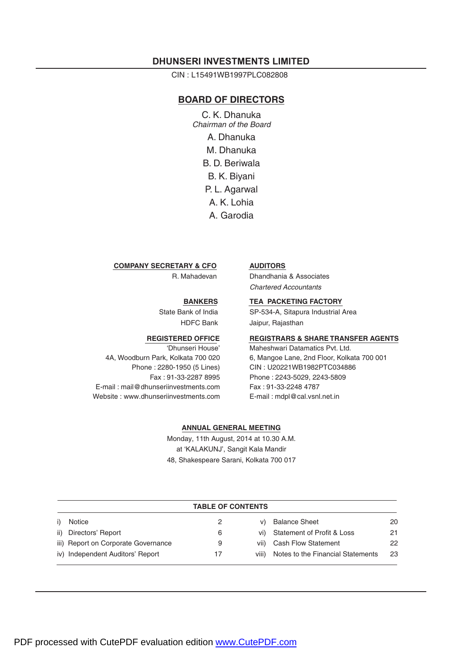## **DHUNSERI INVESTMENTS LIMITED**

CIN: L15491WB1997PLC082808

## **BOARD OF DIRECTORS**

C. K. Dhanuka Chairman of the Board A. Dhanuka M. Dhanuka **B. D. Beriwala** B. K. Biyani P. L. Agarwal A. K. Lohia A. Garodia

#### **COMPANY SECRETARY & CFO**

R. Mahadevan

#### **BANKERS**

State Bank of India **HDFC Bank** 

#### **REGISTERED OFFICE**

'Dhunseri House' 4A, Woodburn Park, Kolkata 700 020 Phone: 2280-1950 (5 Lines) Fax: 91-33-2287 8995 F-mail: mail@dhunseriinvestments.com Website: www.dhunseriinvestments.com

#### **AUDITORS**

Dhandhania & Associates **Chartered Accountants** 

#### TEA PACKETING FACTORY

SP-534-A, Sitapura Industrial Area Jaipur, Rajasthan

#### **REGISTRARS & SHARE TRANSFER AGENTS**

Maheshwari Datamatics Pvt. Ltd. 6, Mangoe Lane, 2nd Floor, Kolkata 700 001 CIN: U20221WB1982PTC034886 Phone: 2243-5029, 2243-5809 Fax: 91-33-2248 4787 E-mail: mdpl@cal.vsnl.net.in

#### **ANNUAL GENERAL MEETING**

Monday, 11th August, 2014 at 10.30 A.M. at 'KALAKUNJ', Sangit Kala Mandir 48, Shakespeare Sarani, Kolkata 700 017

|                                     | <b>TABLE OF CONTENTS</b> |       |                                   |    |
|-------------------------------------|--------------------------|-------|-----------------------------------|----|
| <b>Notice</b>                       | 2                        |       | <b>Balance Sheet</b>              | 20 |
| ii) Directors' Report               | 6                        |       | vi) Statement of Profit & Loss    | 21 |
| iii) Report on Corporate Governance | 9                        |       | vii) Cash Flow Statement          | 22 |
| iv) Independent Auditors' Report    | 17                       | viii) | Notes to the Financial Statements | 23 |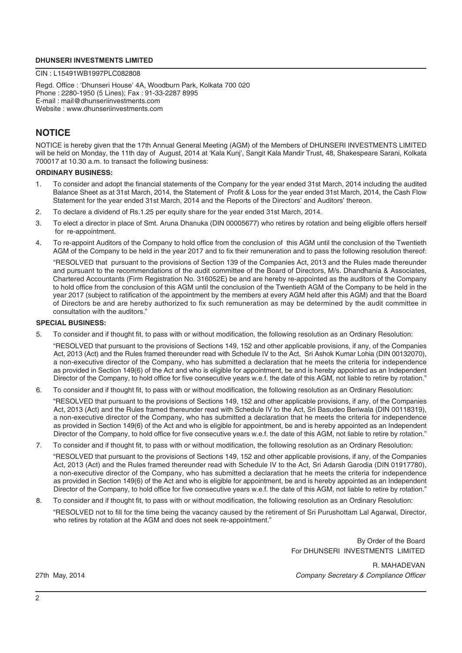#### **DHUNSERI INVESTMENTS LIMITED**

#### CIN: L15491WB1997PLC082808

Regd. Office: 'Dhunseri House' 4A, Woodburn Park, Kolkata 700 020 Phone: 2280-1950 (5 Lines); Fax: 91-33-2287 8995 E-mail: mail@dhunseriinvestments.com Website: www.dhunseriinvestments.com

## **NOTICE**

NOTICE is hereby given that the 17th Annual General Meeting (AGM) of the Members of DHUNSERI INVESTMENTS LIMITED will be held on Monday, the 11th day of August, 2014 at 'Kala Kunj', Sangit Kala Mandir Trust, 48, Shakespeare Sarani, Kolkata 700017 at 10.30 a.m. to transact the following business:

#### **ORDINARY BUSINESS:**

- To consider and adopt the financial statements of the Company for the year ended 31st March, 2014 including the audited  $\mathbf{1}$ Balance Sheet as at 31st March, 2014, the Statement of Profit & Loss for the year ended 31st March, 2014, the Cash Flow Statement for the year ended 31st March, 2014 and the Reports of the Directors' and Auditors' thereon.
- $2.$ To declare a dividend of Rs.1.25 per equity share for the year ended 31st March, 2014.
- 3. To elect a director in place of Smt. Aruna Dhanuka (DIN 00005677) who retires by rotation and being eligible offers herself for re-appointment.
- To re-appoint Auditors of the Company to hold office from the conclusion of this AGM until the conclusion of the Twentieth  $\overline{4}$ AGM of the Company to be held in the year 2017 and to fix their remuneration and to pass the following resolution thereof:

"RESOLVED that pursuant to the provisions of Section 139 of the Companies Act, 2013 and the Rules made thereunder and pursuant to the recommendations of the audit committee of the Board of Directors, M/s. Dhandhania & Associates, Chartered Accountants (Firm Registration No. 316052E) be and are hereby re-appointed as the auditors of the Company to hold office from the conclusion of this AGM until the conclusion of the Twentieth AGM of the Company to be held in the year 2017 (subject to ratification of the appointment by the members at every AGM held after this AGM) and that the Board of Directors be and are hereby authorized to fix such remuneration as may be determined by the audit committee in consultation with the auditors."

#### **SPECIAL BUSINESS:**

To consider and if thought fit, to pass with or without modification, the following resolution as an Ordinary Resolution: 5

"RESOLVED that pursuant to the provisions of Sections 149, 152 and other applicable provisions, if any, of the Companies Act, 2013 (Act) and the Rules framed thereunder read with Schedule IV to the Act, Sri Ashok Kumar Lohia (DIN 00132070), a non-executive director of the Company, who has submitted a declaration that he meets the criteria for independence as provided in Section 149(6) of the Act and who is eligible for appointment, be and is hereby appointed as an Independent Director of the Company, to hold office for five consecutive years w.e.f. the date of this AGM, not liable to retire by rotation."

- To consider and if thought fit, to pass with or without modification, the following resolution as an Ordinary Resolution: 6. "RESOLVED that pursuant to the provisions of Sections 149, 152 and other applicable provisions, if any, of the Companies Act, 2013 (Act) and the Rules framed thereunder read with Schedule IV to the Act, Sri Basudeo Beriwala (DIN 00118319), a non-executive director of the Company, who has submitted a declaration that he meets the criteria for independence as provided in Section 149(6) of the Act and who is eligible for appointment, be and is hereby appointed as an Independent Director of the Company, to hold office for five consecutive years w.e.f. the date of this AGM, not liable to retire by rotation."
- $\overline{7}$ To consider and if thought fit, to pass with or without modification, the following resolution as an Ordinary Resolution:

"RESOLVED that pursuant to the provisions of Sections 149, 152 and other applicable provisions, if any, of the Companies Act, 2013 (Act) and the Rules framed thereunder read with Schedule IV to the Act, Sri Adarsh Garodia (DIN 01917780), a non-executive director of the Company, who has submitted a declaration that he meets the criteria for independence as provided in Section 149(6) of the Act and who is eligible for appointment, be and is hereby appointed as an Independent Director of the Company, to hold office for five consecutive years w.e.f. the date of this AGM, not liable to retire by rotation."

To consider and if thought fit, to pass with or without modification, the following resolution as an Ordinary Resolution:  $\mathsf{R}$ "RESOLVED not to fill for the time being the vacancy caused by the retirement of Sri Purushottam Lal Agarwal, Director, who retires by rotation at the AGM and does not seek re-appointment."

> By Order of the Board For DHUNSERI INVESTMENTS LIMITED

R. MAHADEVAN Company Secretary & Compliance Officer

27th May, 2014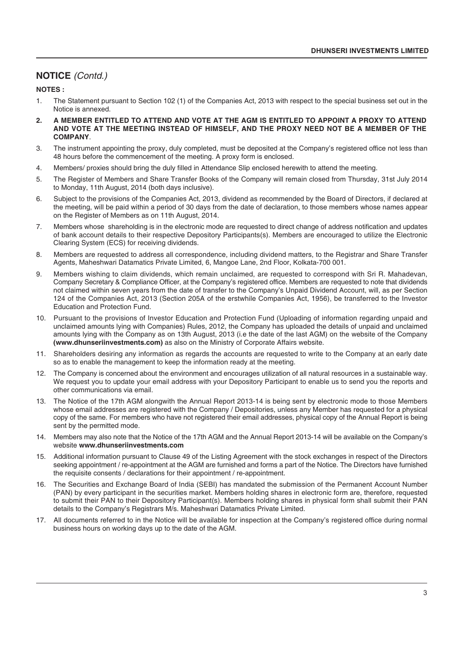## NOTICE (Contd.)

#### NOTES:

- $\blacksquare$ The Statement pursuant to Section 102 (1) of the Companies Act, 2013 with respect to the special business set out in the Notice is annexed.
- A MEMBER ENTITLED TO ATTEND AND VOTE AT THE AGM IS ENTITLED TO APPOINT A PROXY TO ATTEND  $\mathbf{P}$ AND VOTE AT THE MEETING INSTEAD OF HIMSELF, AND THE PROXY NEED NOT BE A MEMBER OF THE **COMPANY**
- The instrument appointing the proxy, duly completed, must be deposited at the Company's registered office not less than  $3.$ 48 hours before the commencement of the meeting. A proxy form is enclosed.
- Members/ proxies should bring the duly filled in Attendance Slip enclosed herewith to attend the meeting.  $\overline{4}$ .
- $5.$ The Register of Members and Share Transfer Books of the Company will remain closed from Thursday, 31st July 2014 to Monday, 11th August, 2014 (both days inclusive).
- Subject to the provisions of the Companies Act, 2013, dividend as recommended by the Board of Directors, if declared at 6. the meeting, will be paid within a period of 30 days from the date of declaration, to those members whose names appear on the Register of Members as on 11th August, 2014.
- $7.$ Members whose shareholding is in the electronic mode are requested to direct change of address notification and updates of bank account details to their respective Depository Participants(s). Members are encouraged to utilize the Electronic Clearing System (ECS) for receiving dividends.
- Members are requested to address all correspondence, including dividend matters, to the Registrar and Share Transfer  $\mathsf{R}$ Agents, Maheshwari Datamatics Private Limited, 6, Mangoe Lane, 2nd Floor, Kolkata-700 001.
- 9. Members wishing to claim dividends, which remain unclaimed, are requested to correspond with Sri R. Mahadevan, Company Secretary & Compliance Officer, at the Company's registered office. Members are requested to note that dividends not claimed within seven years from the date of transfer to the Company's Unpaid Dividend Account, will, as per Section 124 of the Companies Act, 2013 (Section 205A of the erstwhile Companies Act, 1956), be transferred to the Investor Education and Protection Fund.
- 10. Pursuant to the provisions of Investor Education and Protection Fund (Uploading of information regarding unpaid and unclaimed amounts lying with Companies) Rules, 2012, the Company has uploaded the details of unpaid and unclaimed amounts lying with the Company as on 13th August, 2013 (i.e the date of the last AGM) on the website of the Company (www.dhunseriinvestments.com) as also on the Ministry of Corporate Affairs website.
- 11. Shareholders desiring any information as regards the accounts are requested to write to the Company at an early date so as to enable the management to keep the information ready at the meeting.
- The Company is concerned about the environment and encourages utilization of all natural resources in a sustainable way.  $12.$ We request you to update your email address with your Depository Participant to enable us to send you the reports and other communications via email.
- 13. The Notice of the 17th AGM alongwith the Annual Report 2013-14 is being sent by electronic mode to those Members whose email addresses are registered with the Company / Depositories, unless any Member has requested for a physical copy of the same. For members who have not registered their email addresses, physical copy of the Annual Report is being sent by the permitted mode.
- 14. Members may also note that the Notice of the 17th AGM and the Annual Report 2013-14 will be available on the Company's website www.dhunseriinvestments.com
- Additional information pursuant to Clause 49 of the Listing Agreement with the stock exchanges in respect of the Directors  $15.$ seeking appointment / re-appointment at the AGM are furnished and forms a part of the Notice. The Directors have furnished the requisite consents / declarations for their appointment / re-appointment.
- $16$ The Securities and Exchange Board of India (SEBI) has mandated the submission of the Permanent Account Number (PAN) by every participant in the securities market. Members holding shares in electronic form are, therefore, requested to submit their PAN to their Depository Participant(s). Members holding shares in physical form shall submit their PAN details to the Company's Registrars M/s. Maheshwari Datamatics Private Limited.
- All documents referred to in the Notice will be available for inspection at the Company's registered office during normal  $17$ business hours on working days up to the date of the AGM.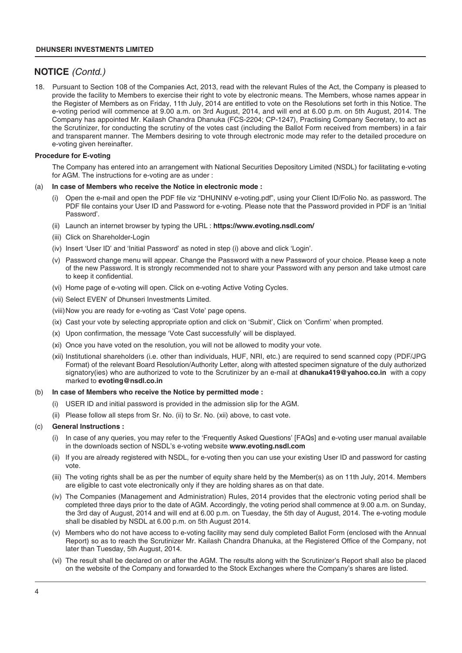## NOTICE (Contd.)

Pursuant to Section 108 of the Companies Act, 2013, read with the relevant Rules of the Act, the Company is pleased to 18 provide the facility to Members to exercise their right to vote by electronic means. The Members, whose names appear in the Register of Members as on Friday, 11th July, 2014 are entitled to vote on the Resolutions set forth in this Notice. The e-voting period will commence at 9.00 a.m. on 3rd August, 2014, and will end at 6.00 p.m. on 5th August, 2014. The Company has appointed Mr. Kailash Chandra Dhanuka (FCS-2204; CP-1247), Practising Company Secretary, to act as the Scrutinizer, for conducting the scrutiny of the votes cast (including the Ballot Form received from members) in a fair and transparent manner. The Members desiring to vote through electronic mode may refer to the detailed procedure on e-voting given hereinafter.

#### **Procedure for E-voting**

The Company has entered into an arrangement with National Securities Depository Limited (NSDL) for facilitating e-voting for AGM. The instructions for e-voting are as under:

#### In case of Members who receive the Notice in electronic mode :

- Open the e-mail and open the PDF file viz "DHUNINV e-voting.pdf", using your Client ID/Folio No. as password. The  $(i)$ PDF file contains your User ID and Password for e-voting. Please note that the Password provided in PDF is an 'Initial Password'.
- (ii) Launch an internet browser by typing the URL : https://www.evoting.nsdl.com/
- (iii) Click on Shareholder-Login
- (iv) Insert 'User ID' and 'Initial Password' as noted in step (i) above and click 'Login'.
- (v) Password change menu will appear. Change the Password with a new Password of your choice. Please keep a note of the new Password. It is strongly recommended not to share your Password with any person and take utmost care to keep it confidential.
- (vi) Home page of e-voting will open. Click on e-voting Active Voting Cycles.
- (vii) Select EVEN' of Dhunseri Investments Limited.
- (viii) Now you are ready for e-voting as 'Cast Vote' page opens.
- (ix) Cast your vote by selecting appropriate option and click on 'Submit', Click on 'Confirm' when prompted.
- (x) Upon confirmation, the message 'Vote Cast successfully' will be displayed.
- (xi) Once you have voted on the resolution, you will not be allowed to modity your vote.
- (xii) Institutional shareholders (i.e. other than individuals, HUF, NRI, etc.) are required to send scanned copy (PDF/JPG Format) of the relevant Board Resolution/Authority Letter, along with attested specimen signature of the duly authorized signatory(ies) who are authorized to vote to the Scrutinizer by an e-mail at **dhanuka419@yahoo.co.in** with a copy marked to evoting@nsdl.co.in

#### In case of Members who receive the Notice by permitted mode :  $(b)$

- (i) USER ID and initial password is provided in the admission slip for the AGM.
- (ii) Please follow all steps from Sr. No. (ii) to Sr. No. (xii) above, to cast vote.

#### $(c)$ **General Instructions:**

- In case of any queries, you may refer to the 'Frequently Asked Questions' [FAQs] and e-voting user manual available  $(i)$ in the downloads section of NSDL's e-voting website www.evoting.nsdl.com
- (ii) If you are already registered with NSDL, for e-voting then you can use your existing User ID and password for casting atov
- (iii) The voting rights shall be as per the number of equity share held by the Member(s) as on 11th July, 2014. Members are eligible to cast vote electronically only if they are holding shares as on that date.
- (iv) The Companies (Management and Administration) Rules, 2014 provides that the electronic voting period shall be completed three days prior to the date of AGM. Accordingly, the voting period shall commence at 9.00 a.m. on Sunday, the 3rd day of August, 2014 and will end at 6.00 p.m. on Tuesday, the 5th day of August, 2014. The e-voting module shall be disabled by NSDL at 6.00 p.m. on 5th August 2014.
- (v) Members who do not have access to e-voting facility may send duly completed Ballot Form (enclosed with the Annual Report) so as to reach the Scrutinizer Mr. Kailash Chandra Dhanuka, at the Registered Office of the Company, not later than Tuesday, 5th August, 2014.
- (vi) The result shall be declared on or after the AGM. The results along with the Scrutinizer's Report shall also be placed on the website of the Company and forwarded to the Stock Exchanges where the Company's shares are listed.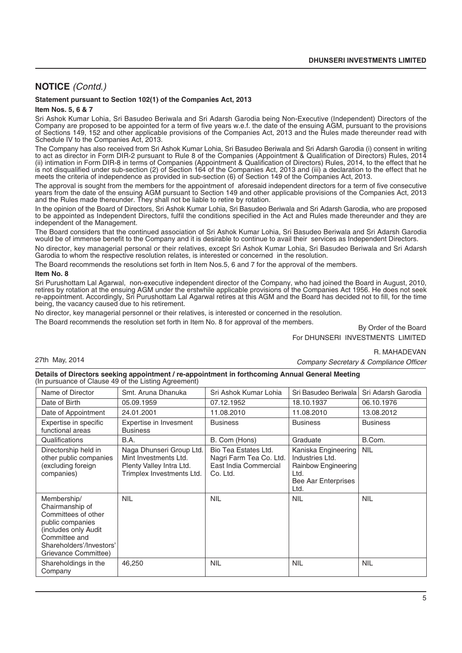## **NOTICE** (Contd.)

#### Statement pursuant to Section 102(1) of the Companies Act. 2013

#### Item Nos. 5, 6 & 7

Sri Ashok Kumar Lohia, Sri Basudeo Beriwala and Sri Adarsh Garodia being Non-Executive (Independent) Directors of the Company are proposed to be appointed for a term of five years w.e.f. the date of the ensuing AGM, pursuant to the provisions of Sections 149, 152 and other applicable provisions of the Companies Act. 2013 and the Rules made thereunder read with Schedule IV to the Companies Act. 2013.

The Company has also received from Sri Ashok Kumar Lohia, Sri Basudeo Beriwala and Sri Adarsh Garodia (i) consent in writing<br>to act as director in Form DIR-2 pursuant to Rule 8 of the Companies (Appointment & Qualification meets the criteria of independence as provided in sub-section (6) of Section 149 of the Companies Act, 2013.

The approval is sought from the members for the appointment of aforesaid independent directors for a term of five consecutive years from the date of the ensuing AGM pursuant to Section 149 and other applicable provisions of the Companies Act, 2013 and the Rules made thereunder. They shall not be liable to retire by rotation.

In the opinion of the Board of Directors, Sri Ashok Kumar Lohia, Sri Basudeo Beriwala and Sri Adarsh Garodia, who are proposed to be appointed as Independent Directors, fulfil the conditions specified in the Act and Rules made thereunder and they are independent of the Management.

The Board considers that the continued association of Sri Ashok Kumar Lohia, Sri Basudeo Beriwala and Sri Adarsh Garodia would be of immense benefit to the Company and it is desirable to continue to avail their services as Independent Directors.

No director, key managerial personal or their relatives, except Sri Ashok Kumar Lohia, Sri Basudeo Beriwala and Sri Adarsh Garodia to whom the respective resolution relates, is interested or concerned in the resolution.

The Board recommends the resolutions set forth in Item Nos.5, 6 and 7 for the approval of the members.

#### Item No. 8

Sri Purushottam Lal Agarwal, non-executive independent director of the Company, who had joined the Board in August, 2010, retires by rotation at the ensuing AGM under the erstwhile applicable provisions of the Companies Ac being, the vacancy caused due to his retirement.

No director, key managerial personnel or their relatives, is interested or concerned in the resolution.

The Board recommends the resolution set forth in Item No. 8 for approval of the members.

By Order of the Board For DHUNSERI INVESTMENTS LIMITED

27th May, 2014

R. MAHADEVAN

Company Secretary & Compliance Officer

Details of Directors seeking appointment / re-appointment in forthcoming Annual General Meeting (In pursuance of Clause 49 of the Listing Agreement)

| Name of Director                                                                                                                                                       | Smt. Aruna Dhanuka                                                                                         | Sri Ashok Kumar Lohia                                                                | Sri Basudeo Beriwala                                                                                 | Sri Adarsh Garodia |
|------------------------------------------------------------------------------------------------------------------------------------------------------------------------|------------------------------------------------------------------------------------------------------------|--------------------------------------------------------------------------------------|------------------------------------------------------------------------------------------------------|--------------------|
| Date of Birth                                                                                                                                                          | 05.09.1959                                                                                                 | 07.12.1952                                                                           | 18.10.1937                                                                                           | 06.10.1976         |
| Date of Appointment                                                                                                                                                    | 24.01.2001                                                                                                 | 11.08.2010                                                                           | 11.08.2010                                                                                           | 13.08.2012         |
| Expertise in specific<br>functional areas                                                                                                                              | Expertise in Invesment<br><b>Business</b>                                                                  | <b>Business</b>                                                                      | <b>Business</b>                                                                                      | <b>Business</b>    |
| Qualifications                                                                                                                                                         | B.A.                                                                                                       | B. Com (Hons)                                                                        | Graduate                                                                                             | B.Com.             |
| Directorship held in<br>other public companies<br>(excluding foreign<br>companies)                                                                                     | Naga Dhunseri Group Ltd.<br>Mint Investments Ltd.<br>Plenty Valley Intra Ltd.<br>Trimplex Investments Ltd. | Bio Tea Estates Ltd.<br>Nagri Farm Tea Co. Ltd.<br>East India Commercial<br>Co. Ltd. | Kaniska Engineering<br>Industries Ltd.<br>Rainbow Engineering<br>Ltd.<br>Bee Aar Enterprises<br>Ltd. | <b>NIL</b>         |
| Membership/<br>Chairmanship of<br>Committees of other<br>public companies<br>(includes only Audit<br>Committee and<br>Shareholders'/Investors'<br>Grievance Committee) | <b>NIL</b>                                                                                                 | <b>NIL</b>                                                                           | <b>NIL</b>                                                                                           | <b>NIL</b>         |
| Shareholdings in the<br>Company                                                                                                                                        | 46,250                                                                                                     | <b>NIL</b>                                                                           | <b>NIL</b>                                                                                           | <b>NIL</b>         |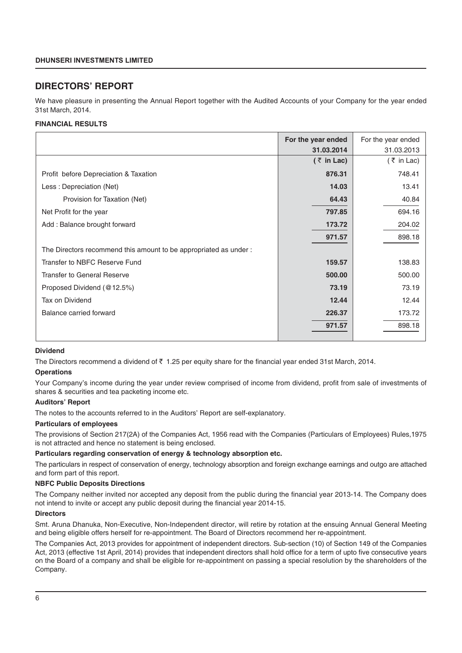## **DIRECTORS' REPORT**

We have pleasure in presenting the Annual Report together with the Audited Accounts of your Company for the year ended 31st March, 2014.

#### **FINANCIAL RESULTS**

|                                                                  | For the year ended  | For the year ended |
|------------------------------------------------------------------|---------------------|--------------------|
|                                                                  | 31.03.2014          | 31.03.2013         |
|                                                                  | $(3 \nvert$ in Lac) | $($ ₹ in Lac)      |
| Profit before Depreciation & Taxation                            | 876.31              | 748.41             |
| Less: Depreciation (Net)                                         | 14.03               | 13.41              |
| Provision for Taxation (Net)                                     | 64.43               | 40.84              |
| Net Profit for the year                                          | 797.85              | 694.16             |
| Add: Balance brought forward                                     | 173.72              | 204.02             |
|                                                                  | 971.57              | 898.18             |
| The Directors recommend this amount to be appropriated as under: |                     |                    |
| Transfer to NBFC Reserve Fund                                    | 159.57              | 138.83             |
| <b>Transfer to General Reserve</b>                               | 500.00              | 500.00             |
| Proposed Dividend (@12.5%)                                       | 73.19               | 73.19              |
| Tax on Dividend                                                  | 12.44               | 12.44              |
| Balance carried forward                                          | 226.37              | 173.72             |
|                                                                  | 971.57              | 898.18             |
|                                                                  |                     |                    |

#### **Dividend**

The Directors recommend a dividend of ₹ 1.25 per equity share for the financial year ended 31st March, 2014.

#### **Operations**

Your Company's income during the year under review comprised of income from dividend, profit from sale of investments of shares & securities and tea packeting income etc.

#### **Auditors' Report**

The notes to the accounts referred to in the Auditors' Report are self-explanatory.

#### **Particulars of employees**

The provisions of Section 217(2A) of the Companies Act, 1956 read with the Companies (Particulars of Employees) Rules, 1975 is not attracted and hence no statement is being enclosed.

#### Particulars regarding conservation of energy & technology absorption etc.

The particulars in respect of conservation of energy, technology absorption and foreign exchange earnings and outgo are attached and form part of this report.

#### **NBFC Public Deposits Directions**

The Company neither invited nor accepted any deposit from the public during the financial year 2013-14. The Company does not intend to invite or accept any public deposit during the financial year 2014-15.

#### **Directors**

Smt. Aruna Dhanuka, Non-Executive, Non-Independent director, will retire by rotation at the ensuing Annual General Meeting and being eligible offers herself for re-appointment. The Board of Directors recommend her re-appointment.

The Companies Act, 2013 provides for appointment of independent directors. Sub-section (10) of Section 149 of the Companies Act, 2013 (effective 1st April, 2014) provides that independent directors shall hold office for a term of upto five consecutive years on the Board of a company and shall be eligible for re-appointment on passing a special resolution by the shareholders of the Company.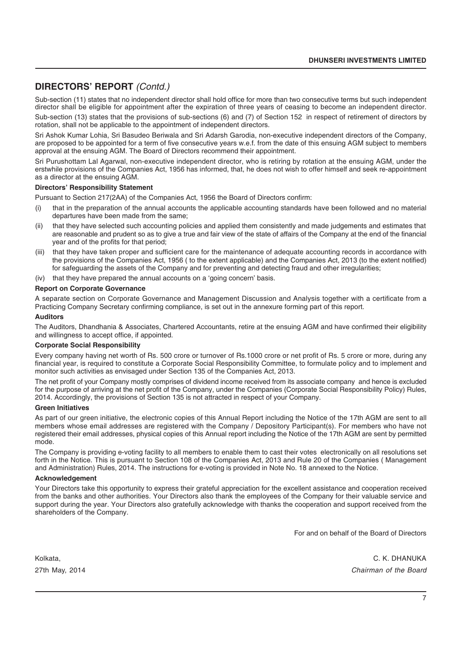## **DIRECTORS' REPORT (Contd.)**

Sub-section (11) states that no independent director shall hold office for more than two consecutive terms but such independent director shall be eligible for appointment after the expiration of three years of ceasing to become an independent director. Sub-section (13) states that the provisions of sub-sections (6) and (7) of Section 152 in respect of retirement of directors by rotation, shall not be applicable to the appointment of independent directors.

Sri Ashok Kumar Lohia, Sri Basudeo Beriwala and Sri Adarsh Garodia, non-executive independent directors of the Company, are proposed to be appointed for a term of five consecutive years w.e.f. from the date of this ensuing AGM subject to members approval at the ensuing AGM. The Board of Directors recommend their appointment.

Sri Purushottam Lal Agarwal, non-executive independent director, who is retiring by rotation at the ensuing AGM, under the erstwhile provisions of the Companies Act, 1956 has informed, that, he does not wish to offer himself and seek re-appointment as a director at the ensuing AGM.

#### **Directors' Responsibility Statement**

Pursuant to Section 217(2AA) of the Companies Act, 1956 the Board of Directors confirm:

- that in the preparation of the annual accounts the applicable accounting standards have been followed and no material departures have been made from the same:
- $(iii)$ that they have selected such accounting policies and applied them consistently and made judgements and estimates that are reasonable and prudent so as to give a true and fair view of the state of affairs of the Company at the end of the financial vear and of the profits for that period:
- that they have taken proper and sufficient care for the maintenance of adequate accounting records in accordance with the provisions of the Companies Act, 1956 (to the extent applicable) and the Companies Act, 2013 (to the extent notified) for safeguarding the assets of the Company and for preventing and detecting fraud and other irregularities:
- (iv) that they have prepared the annual accounts on a 'going concern' basis.

#### **Report on Corporate Governance**

A separate section on Corporate Governance and Management Discussion and Analysis together with a certificate from a Practicing Company Secretary confirming compliance, is set out in the annexure forming part of this report.

#### **Auditors**

The Auditors, Dhandhania & Associates, Chartered Accountants, retire at the ensuing AGM and have confirmed their eligibility and willingness to accept office, if appointed.

#### **Corporate Social Responsibility**

Every company having net worth of Bs. 500 crore or turnover of Bs. 1000 crore or net profit of Bs. 5 crore or more, during any financial year, is required to constitute a Corporate Social Responsibility Committee, to formulate policy and to implement and monitor such activities as envisaged under Section 135 of the Companies Act, 2013.

The net profit of your Company mostly comprises of dividend income received from its associate company and hence is excluded for the purpose of arriving at the net profit of the Company, under the Companies (Corporate Social Responsibility Policy) Rules, 2014. Accordingly, the provisions of Section 135 is not attracted in respect of your Company.

#### **Green Initiatives**

As part of our green initiative, the electronic copies of this Annual Report including the Notice of the 17th AGM are sent to all members whose email addresses are registered with the Company / Depository Participant(s). For members who have not registered their email addresses, physical copies of this Annual report including the Notice of the 17th AGM are sent by permitted mode.

The Company is providing e-voting facility to all members to enable them to cast their votes electronically on all resolutions set forth in the Notice. This is pursuant to Section 108 of the Companies Act. 2013 and Rule 20 of the Companies (Management and Administration) Rules, 2014. The instructions for e-voting is provided in Note No. 18 annexed to the Notice.

#### **Acknowledgement**

Your Directors take this opportunity to express their grateful appreciation for the excellent assistance and cooperation received from the banks and other authorities. Your Directors also thank the employees of the Company for their valuable service and support during the year. Your Directors also gratefully acknowledge with thanks the cooperation and support received from the shareholders of the Company.

For and on behalf of the Board of Directors

Kolkata. 27th May, 2014

C. K. DHANUKA Chairman of the Board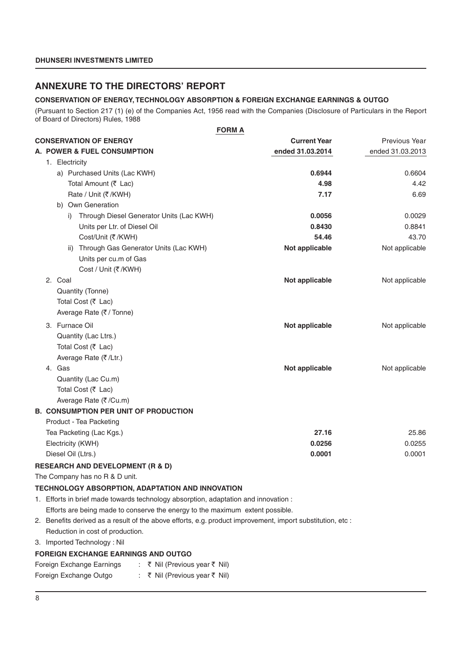## **ANNEXURE TO THE DIRECTORS' REPORT**

## **CONSERVATION OF ENERGY, TECHNOLOGY ABSORPTION & FOREIGN EXCHANGE EARNINGS & OUTGO**

(Pursuant to Section 217 (1) (e) of the Companies Act, 1956 read with the Companies (Disclosure of Particulars in the Report of Board of Directors) Rules, 1988

| <b>FORM A</b>                                                                                              |                     |                      |
|------------------------------------------------------------------------------------------------------------|---------------------|----------------------|
| <b>CONSERVATION OF ENERGY</b>                                                                              | <b>Current Year</b> | <b>Previous Year</b> |
| <b>A. POWER &amp; FUEL CONSUMPTION</b>                                                                     | ended 31.03.2014    | ended 31.03.2013     |
| 1. Electricity                                                                                             |                     |                      |
| a) Purchased Units (Lac KWH)                                                                               | 0.6944              | 0.6604               |
| Total Amount (₹ Lac)                                                                                       | 4.98                | 4.42                 |
| Rate / Unit (₹/KWH)                                                                                        | 7.17                | 6.69                 |
| b) Own Generation                                                                                          |                     |                      |
| Through Diesel Generator Units (Lac KWH)<br>i)                                                             | 0.0056              | 0.0029               |
| Units per Ltr. of Diesel Oil                                                                               | 0.8430              | 0.8841               |
| Cost/Unit (₹/KWH)                                                                                          | 54.46               | 43.70                |
| ii) Through Gas Generator Units (Lac KWH)                                                                  | Not applicable      | Not applicable       |
| Units per cu.m of Gas                                                                                      |                     |                      |
| Cost / Unit (₹/KWH)                                                                                        |                     |                      |
| 2. Coal                                                                                                    | Not applicable      | Not applicable       |
| Quantity (Tonne)                                                                                           |                     |                      |
| Total Cost (₹ Lac)                                                                                         |                     |                      |
| Average Rate (₹ / Tonne)                                                                                   |                     |                      |
| 3. Furnace Oil                                                                                             | Not applicable      | Not applicable       |
| Quantity (Lac Ltrs.)                                                                                       |                     |                      |
| Total Cost (₹ Lac)                                                                                         |                     |                      |
| Average Rate (₹/Ltr.)                                                                                      |                     |                      |
| 4. Gas                                                                                                     | Not applicable      | Not applicable       |
| Quantity (Lac Cu.m)                                                                                        |                     |                      |
| Total Cost (₹ Lac)                                                                                         |                     |                      |
| Average Rate (₹/Cu.m)                                                                                      |                     |                      |
| <b>B. CONSUMPTION PER UNIT OF PRODUCTION</b>                                                               |                     |                      |
| Product - Tea Packeting                                                                                    |                     |                      |
| Tea Packeting (Lac Kgs.)                                                                                   | 27.16               | 25.86                |
| Electricity (KWH)                                                                                          | 0.0256              | 0.0255               |
| Diesel Oil (Ltrs.)                                                                                         | 0.0001              | 0.0001               |
| <b>RESEARCH AND DEVELOPMENT (R &amp; D)</b>                                                                |                     |                      |
| The Company has no R & D unit.                                                                             |                     |                      |
| <b>TECHNOLOGY ABSORPTION, ADAPTATION AND INNOVATION</b>                                                    |                     |                      |
| 1. Efforts in brief made towards technology absorption, adaptation and innovation :                        |                     |                      |
| Efforts are being made to conserve the energy to the maximum extent possible.                              |                     |                      |
| 2. Benefits derived as a result of the above efforts, e.g. product improvement, import substitution, etc : |                     |                      |
| Reduction in cost of production.                                                                           |                     |                      |
| 3. Imported Technology: Nil                                                                                |                     |                      |
| <b>FOREIGN EXCHANGE EARNINGS AND OUTGO</b>                                                                 |                     |                      |
| Foreian Exchange Earnings - : こ そ Nil (Previous vear そ Nil)                                                |                     |                      |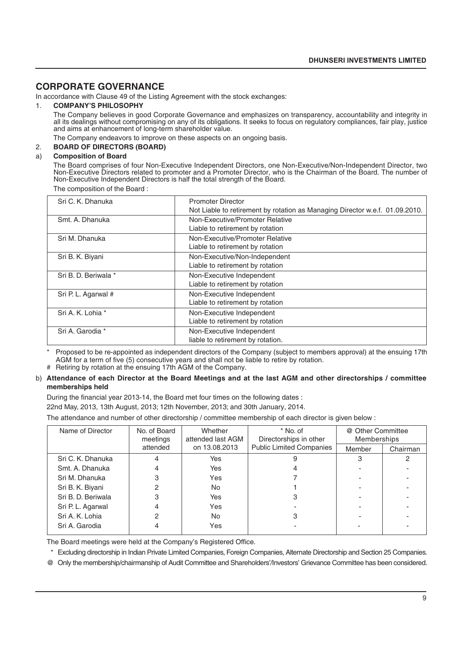## **CORPORATE GOVERNANCE**

In accordance with Clause 49 of the Listing Agreement with the stock exchanges:

#### **COMPANY'S PHILOSOPHY**  $\blacksquare$

The Company believes in good Corporate Governance and emphasizes on transparency, accountability and integrity in all its dealings without compromising on any of its obligations. It seeks to focus on regulatory compliances, fair play, justice and aims at enhancement of long-term shareholder value.

The Company endeavors to improve on these aspects on an ongoing basis.

#### $2.$ **BOARD OF DIRECTORS (BOARD)**

#### a) **Composition of Board**

The Board comprises of four Non-Executive Independent Directors, one Non-Executive/Non-Independent Director, two Non-Executive Directors related to promoter and a Promoter Director, who is the Chairman of the Board. The number of Non-Executive Independent Directors is half the total strength of the Board. The composition of the Board:

| Sri C. K. Dhanuka    | <b>Promoter Director</b><br>Not Liable to retirement by rotation as Managing Director w.e.f. 01.09.2010. |
|----------------------|----------------------------------------------------------------------------------------------------------|
| Smt. A. Dhanuka      | Non-Executive/Promoter Relative                                                                          |
|                      | Liable to retirement by rotation                                                                         |
| Sri M. Dhanuka       | Non-Executive/Promoter Relative                                                                          |
|                      | Liable to retirement by rotation                                                                         |
| Sri B. K. Biyani     | Non-Executive/Non-Independent                                                                            |
|                      | Liable to retirement by rotation                                                                         |
| Sri B. D. Beriwala * | Non-Executive Independent                                                                                |
|                      | Liable to retirement by rotation                                                                         |
| Sri P. L. Agarwal #  | Non-Executive Independent                                                                                |
|                      | Liable to retirement by rotation                                                                         |
| Sri A. K. Lohia *    | Non-Executive Independent                                                                                |
|                      | Liable to retirement by rotation                                                                         |
| Sri A. Garodia *     | Non-Executive Independent                                                                                |
|                      | liable to retirement by rotation.                                                                        |

Proposed to be re-appointed as independent directors of the Company (subject to members approval) at the ensuing 17th AGM for a term of five (5) consecutive years and shall not be liable to retire by rotation.

Retiring by rotation at the ensuing 17th AGM of the Company.

#### b) Attendance of each Director at the Board Meetings and at the last AGM and other directorships / committee memberships held

During the financial year 2013-14, the Board met four times on the following dates: 22nd May, 2013, 13th August, 2013; 12th November, 2013; and 30th January, 2014.

The attendance and number of other directorship / committee membership of each director is given below :

| Name of Director   | No. of Board<br>meetings | Whether<br>attended last AGM | * No. of<br>Directorships in other | @ Other Committee<br>Memberships |          |
|--------------------|--------------------------|------------------------------|------------------------------------|----------------------------------|----------|
|                    | attended                 | on 13.08.2013                | <b>Public Limited Companies</b>    | Member                           | Chairman |
| Sri C. K. Dhanuka  | 4                        | Yes                          |                                    | 3                                |          |
| Smt. A. Dhanuka    | 4                        | Yes                          |                                    |                                  |          |
| Sri M. Dhanuka     | З                        | Yes                          |                                    |                                  |          |
| Sri B. K. Biyani   |                          | No                           |                                    |                                  |          |
| Sri B. D. Beriwala | З                        | Yes                          |                                    |                                  |          |
| Sri P. L. Agarwal  |                          | Yes                          |                                    |                                  |          |
| Sri A. K. Lohia    | っ                        | No                           |                                    |                                  |          |
| Sri A. Garodia     |                          | Yes                          |                                    |                                  |          |

The Board meetings were held at the Company's Registered Office.

\* Excluding directorship in Indian Private Limited Companies, Foreign Companies, Alternate Directorship and Section 25 Companies.

@ Only the membership/chairmanship of Audit Committee and Shareholders'/Investors' Grievance Committee has been considered.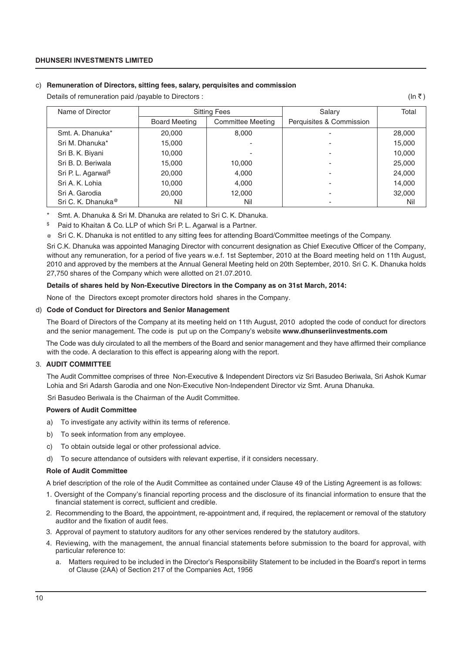#### **DHUNSERI INVESTMENTS LIMITED**

#### c) Remuneration of Directors, sitting fees, salary, perquisites and commission

Details of remuneration paid /payable to Directors :

 $(ln \overline{\tau})$ 

| Name of Director                | <b>Sitting Fees</b>  |                   | Salary                   | Total  |
|---------------------------------|----------------------|-------------------|--------------------------|--------|
|                                 | <b>Board Meeting</b> | Committee Meeting | Perquisites & Commission |        |
| Smt. A. Dhanuka*                | 20,000               | 8.000             |                          | 28,000 |
| Sri M. Dhanuka*                 | 15.000               |                   |                          | 15,000 |
| Sri B. K. Biyani                | 10.000               |                   |                          | 10,000 |
| Sri B. D. Beriwala              | 15.000               | 10.000            |                          | 25,000 |
| Sri P. L. Agarwal <sup>\$</sup> | 20,000               | 4.000             |                          | 24,000 |
| Sri A. K. Lohia                 | 10.000               | 4.000             |                          | 14.000 |
| Sri A. Garodia                  | 20,000               | 12,000            |                          | 32,000 |
| Sri C. K. Dhanuka <sup>@</sup>  | Nil                  | Nil               |                          | Nil    |

Smt. A. Dhanuka & Sri M. Dhanuka are related to Sri C. K. Dhanuka.

<sup>\$</sup> Paid to Khaitan & Co. LLP of which Sri P. L. Agarwal is a Partner.

<sup>◎</sup> Sri C. K. Dhanuka is not entitled to any sitting fees for attending Board/Committee meetings of the Company.

Sri C.K. Dhanuka was appointed Managing Director with concurrent designation as Chief Executive Officer of the Company, without any remuneration, for a period of five years w.e.f. 1st September, 2010 at the Board meeting held on 11th August, 2010 and approved by the members at the Annual General Meeting held on 20th September, 2010. Sri C. K. Dhanuka holds 27,750 shares of the Company which were allotted on 21.07.2010.

#### Details of shares held by Non-Executive Directors in the Company as on 31st March, 2014;

None of the Directors except promoter directors hold shares in the Company.

#### d) Code of Conduct for Directors and Senior Management

The Board of Directors of the Company at its meeting held on 11th August, 2010 adopted the code of conduct for directors and the senior management. The code is put up on the Company's website www.dhunseriinvestments.com

The Code was duly circulated to all the members of the Board and senior management and they have affirmed their compliance with the code. A declaration to this effect is appearing along with the report.

#### 3 AUDIT COMMITTEE

The Audit Committee comprises of three Non-Executive & Independent Directors viz Sri Basudeo Beriwala, Sri Ashok Kumar Lohia and Sri Adarsh Garodia and one Non-Executive Non-Independent Director viz Smt. Aruna Dhanuka.

Sri Basudeo Beriwala is the Chairman of the Audit Committee.

#### **Powers of Audit Committee**

- a) To investigate any activity within its terms of reference.
- b) To seek information from any employee.
- To obtain outside legal or other professional advice.  $\mathbf{C}$ )
- $\mathsf{d}$ To secure attendance of outsiders with relevant expertise, if it considers necessary.

#### **Role of Audit Committee**

A brief description of the role of the Audit Committee as contained under Clause 49 of the Listing Agreement is as follows:

- 1. Oversight of the Company's financial reporting process and the disclosure of its financial information to ensure that the financial statement is correct, sufficient and credible.
- 2. Recommending to the Board, the appointment, re-appointment and, if required, the replacement or removal of the statutory auditor and the fixation of audit fees.
- 3. Approval of payment to statutory auditors for any other services rendered by the statutory auditors.
- 4. Reviewing, with the management, the annual financial statements before submission to the board for approval, with particular reference to:
	- Matters required to be included in the Director's Responsibility Statement to be included in the Board's report in terms  $\mathsf{a}$ of Clause (2AA) of Section 217 of the Companies Act, 1956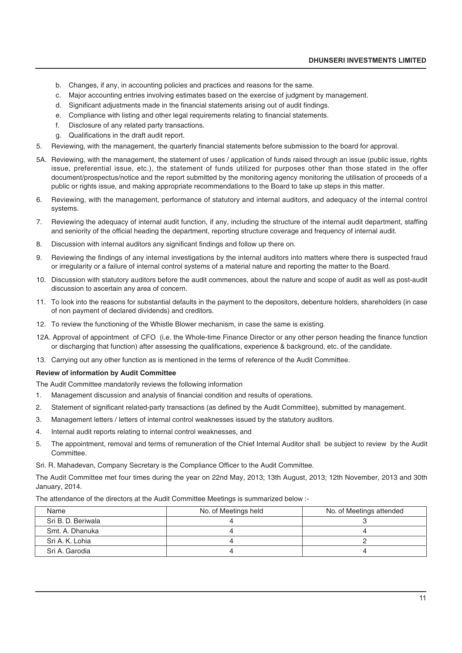- b. Changes, if any, in accounting policies and practices and reasons for the same.
- c. Major accounting entries involving estimates based on the exercise of judgment by management.
- d. Significant adjustments made in the financial statements arising out of audit findings.
- e. Compliance with listing and other legal requirements relating to financial statements.
- f. Disclosure of any related party transactions.
- g. Qualifications in the draft audit report.
- Reviewing, with the management, the quarterly financial statements before submission to the board for approval.  $5^{\circ}$
- 5A. Reviewing, with the management, the statement of uses / application of funds raised through an issue (public issue, rights issue, preferential issue, etc.), the statement of funds utilized for purposes other than those stated in the offer document/prospectus/notice and the report submitted by the monitoring agency monitoring the utilisation of proceeds of a public or rights issue, and making appropriate recommendations to the Board to take up steps in this matter.
- 6. Reviewing, with the management, performance of statutory and internal auditors, and adequacy of the internal control systems.
- Reviewing the adequacy of internal audit function, if any, including the structure of the internal audit department, staffing 7. and seniority of the official heading the department, reporting structure coverage and frequency of internal audit.
- 8. Discussion with internal auditors any significant findings and follow up there on.
- $\mathbf{Q}$ Reviewing the findings of any internal investigations by the internal auditors into matters where there is suspected fraud or irregularity or a failure of internal control systems of a material nature and reporting the matter to the Board.
- 10. Discussion with statutory auditors before the audit commences, about the nature and scope of audit as well as post-audit discussion to ascertain any area of concern.
- 11. To look into the reasons for substantial defaults in the payment to the depositors, debenture holders, shareholders (in case of non payment of declared dividends) and creditors.
- 12. To review the functioning of the Whistle Blower mechanism, in case the same is existing.
- 12A. Approval of appointment of CFO (i.e. the Whole-time Finance Director or any other person heading the finance function or discharging that function) after assessing the qualifications, experience & background, etc. of the candidate.
- 13. Carrying out any other function as is mentioned in the terms of reference of the Audit Committee.

#### **Review of information by Audit Committee**

The Audit Committee mandatorily reviews the following information

- Management discussion and analysis of financial condition and results of operations.  $1.$
- $2.$ Statement of significant related-party transactions (as defined by the Audit Committee), submitted by management.
- 3. Management letters / letters of internal control weaknesses issued by the statutory auditors.
- $4.$ Internal audit reports relating to internal control weaknesses, and
- 5. The appointment, removal and terms of remuneration of the Chief Internal Auditor shall be subject to review by the Audit Committee.

Sri. R. Mahadevan, Company Secretary is the Compliance Officer to the Audit Committee.

The Audit Committee met four times during the year on 22nd May, 2013; 13th August, 2013; 12th November, 2013 and 30th January, 2014.

#### The attendance of the directors at the Audit Committee Meetings is summarized below :-

| Name               | No. of Meetings held | No. of Meetings attended |
|--------------------|----------------------|--------------------------|
| Sri B. D. Beriwala |                      |                          |
| Smt. A. Dhanuka    |                      |                          |
| Sri A. K. Lohia    |                      |                          |
| Sri A. Garodia     |                      |                          |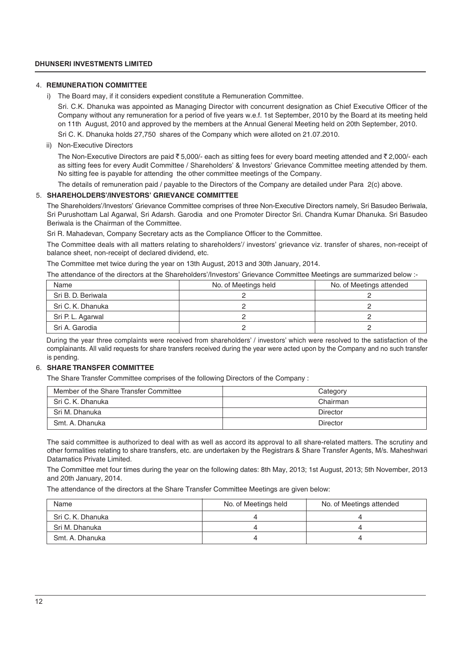#### **DHUNSERI INVESTMENTS LIMITED**

#### **4. REMUNERATION COMMITTEE**

i) The Board may, if it considers expedient constitute a Remuneration Committee.

Sri. C.K. Dhanuka was appointed as Managing Director with concurrent designation as Chief Executive Officer of the Company without any remuneration for a period of five years w.e.f. 1st September, 2010 by the Board at its meeting held on 11th August, 2010 and approved by the members at the Annual General Meeting held on 20th September, 2010.

Sri C. K. Dhanuka holds 27,750 shares of the Company which were alloted on 21.07.2010.

#### ii) Non-Executive Directors

The Non-Executive Directors are paid ₹5,000/- each as sitting fees for every board meeting attended and ₹2,000/- each as sitting fees for every Audit Committee / Shareholders' & Investors' Grievance Committee meeting attended by them. No sitting fee is payable for attending the other committee meetings of the Company.

The details of remuneration paid / payable to the Directors of the Company are detailed under Para 2(c) above.

#### 5. SHAREHOLDERS'/INVESTORS' GRIEVANCE COMMITTEE

The Shareholders'/Investors' Grievance Committee comprises of three Non-Executive Directors namely, Sri Basudeo Beriwala, Sri Purushottam Lal Agarwal, Sri Adarsh. Garodia and one Promoter Director Sri. Chandra Kumar Dhanuka. Sri Basudeo Beriwala is the Chairman of the Committee.

Sri R. Mahadevan, Company Secretary acts as the Compliance Officer to the Committee.

The Committee deals with all matters relating to shareholders'/investors' grievance viz. transfer of shares, non-receipt of balance sheet, non-receipt of declared dividend, etc.

The Committee met twice during the year on 13th August, 2013 and 30th January, 2014.

The attendance of the directors at the Shareholders'/Investors' Grievance Committee Meetings are summarized below :-

| Name               | No. of Meetings held | No. of Meetings attended |
|--------------------|----------------------|--------------------------|
| Sri B. D. Beriwala |                      |                          |
| Sri C. K. Dhanuka  |                      |                          |
| Sri P. L. Agarwal  |                      |                          |
| Sri A. Garodia     |                      |                          |

During the year three complaints were received from shareholders' / investors' which were resolved to the satisfaction of the complainants. All valid requests for share transfers received during the year were acted upon by the Company and no such transfer is pending.

#### **6. SHARE TRANSFER COMMITTEE**

The Share Transfer Committee comprises of the following Directors of the Company:

| Member of the Share Transfer Committee | Category |
|----------------------------------------|----------|
| Sri C. K. Dhanuka                      | Chairman |
| Sri M. Dhanuka                         | Director |
| Smt. A. Dhanuka                        | Director |

The said committee is authorized to deal with as well as accord its approval to all share-related matters. The scrutiny and other formalities relating to share transfers, etc. are undertaken by the Registrars & Share Transfer Agents, M/s. Maheshwari Datamatics Private Limited.

The Committee met four times during the year on the following dates: 8th May, 2013; 1st August, 2013; 5th November, 2013 and 20th January, 2014.

The attendance of the directors at the Share Transfer Committee Meetings are given below:

| Name              | No. of Meetings held | No. of Meetings attended |
|-------------------|----------------------|--------------------------|
| Sri C. K. Dhanuka |                      |                          |
| Sri M. Dhanuka    |                      |                          |
| Smt. A. Dhanuka   |                      |                          |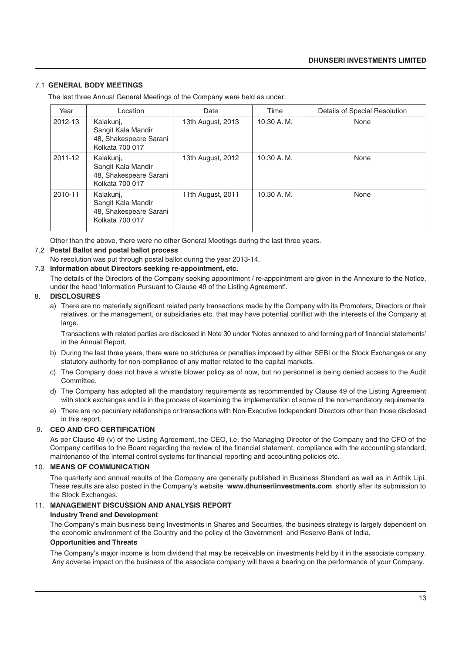#### **7.1 GENERAL BODY MEETINGS**

The last three Annual General Meetings of the Company were held as under:

| Year    | Location                                                                     | Date              | Time       | Details of Special Resolution |
|---------|------------------------------------------------------------------------------|-------------------|------------|-------------------------------|
| 2012-13 | Kalakuni,<br>Sangit Kala Mandir<br>48, Shakespeare Sarani<br>Kolkata 700 017 | 13th August, 2013 | 10.30 A.M. | None                          |
| 2011-12 | Kalakuni,<br>Sangit Kala Mandir<br>48, Shakespeare Sarani<br>Kolkata 700 017 | 13th August, 2012 | 10.30 A.M. | None                          |
| 2010-11 | Kalakuni,<br>Sangit Kala Mandir<br>48, Shakespeare Sarani<br>Kolkata 700 017 | 11th August, 2011 | 10.30 A.M. | None                          |

Other than the above, there were no other General Meetings during the last three years.

#### 7.2 Postal Ballot and postal ballot process

No resolution was put through postal ballot during the year 2013-14.

## 7.3 Information about Directors seeking re-appointment, etc.

The details of the Directors of the Company seeking appointment / re-appointment are given in the Annexure to the Notice, under the head 'Information Pursuant to Clause 49 of the Listing Agreement'.

#### $\mathsf{R}$ **DISCLOSURES**

a) There are no materially significant related party transactions made by the Company with its Promoters, Directors or their relatives, or the management, or subsidiaries etc. that may have potential conflict with the interests of the Company at large.

Transactions with related parties are disclosed in Note 30 under 'Notes annexed to and forming part of financial statements' in the Annual Report.

- b) During the last three years, there were no strictures or penalties imposed by either SEBI or the Stock Exchanges or any statutory authority for non-compliance of any matter related to the capital markets.
- c) The Company does not have a whistle blower policy as of now, but no personnel is being denied access to the Audit Committee.
- d) The Company has adopted all the mandatory requirements as recommended by Clause 49 of the Listing Agreement with stock exchanges and is in the process of examining the implementation of some of the non-mandatory requirements.
- e) There are no pecuniary relationships or transactions with Non-Executive Independent Directors other than those disclosed in this report.

#### 9. CEO AND CFO CERTIFICATION

As per Clause 49 (v) of the Listing Agreement, the CEO, i.e. the Managing Director of the Company and the CFO of the Company certifies to the Board regarding the review of the financial statement, compliance with the accounting standard, maintenance of the internal control systems for financial reporting and accounting policies etc.

#### 10. MEANS OF COMMUNICATION

The quarterly and annual results of the Company are generally published in Business Standard as well as in Arthik Lipi. These results are also posted in the Company's website www.dhunseriinvestments.com shortly after its submission to the Stock Exchanges.

#### 11. MANAGEMENT DISCUSSION AND ANALYSIS REPORT

#### **Industry Trend and Development**

The Company's main business being Investments in Shares and Securities, the business strategy is largely dependent on the economic environment of the Country and the policy of the Government and Reserve Bank of India.

#### **Opportunities and Threats**

The Company's major income is from dividend that may be receivable on investments held by it in the associate company. Any adverse impact on the business of the associate company will have a bearing on the performance of your Company.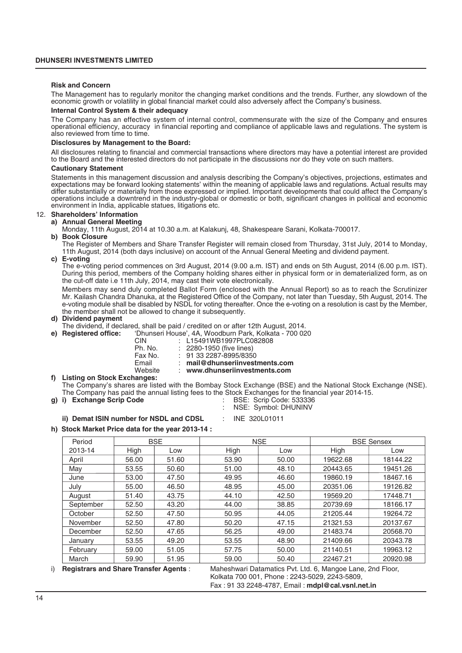#### **Risk and Concern**

The Management has to regularly monitor the changing market conditions and the trends. Further, any slowdown of the economic growth or volatility in global financial market could also adversely affect the Company's business.

#### Internal Control System & their adequacy

The Company has an effective system of internal control, commensurate with the size of the Company and ensures operational efficiency, accuracy in financial reporting and compliance of applicable laws and regulations. The system is also reviewed from time to time.

#### Disclosures by Management to the Board:

All disclosures relating to financial and commercial transactions where directors may have a potential interest are provided to the Board and the interested directors do not participate in the discussions nor do they vote on such matters.

#### **Cautionary Statement**

Statements in this management discussion and analysis describing the Company's objectives, projections, estimates and expectations may be forward looking statements' within the meaning of applicable laws and regulations. Actual results may differ substantially or materially from those expressed or implied. Important developments that could affect the Company's operations include a downtrend in the industry-global or domestic or both, significant changes in political and economic environment in India, applicable statues, litigations etc.

#### 12. Shareholders' Information

#### a) Annual General Meeting

Monday, 11th August, 2014 at 10.30 a.m. at Kalakunj, 48, Shakespeare Sarani, Kolkata-700017.

#### b) Book Closure

The Register of Members and Share Transfer Register will remain closed from Thursday, 31st July, 2014 to Monday, 11th August, 2014 (both days inclusive) on account of the Annual General Meeting and dividend payment.

c) E-voting

The e-voting period commences on 3rd August, 2014 (9.00 a.m. IST) and ends on 5th August, 2014 (6.00 p.m. IST). During this period, members of the Company holding shares either in physical form or in dematerialized form, as on the cut-off date i.e 11th July, 2014, may cast their vote electronically.

Members may send duly completed Ballot Form (enclosed with the Annual Report) so as to reach the Scrutinizer Mr. Kailash Chandra Dhanuka, at the Registered Office of the Company, not later than Tuesday, 5th August, 2014. The e-voting module shall be disabled by NSDL for voting thereafter. Once the e-voting on a resolution is cast by the Member, the member shall not be allowed to change it subsequently.

#### d) Dividend payment

The dividend, if declared, shall be paid / credited on or after 12th August, 2014.

e) Registered office: 'Dhunseri House', 4A, Woodburn Park, Kolkata - 700 020

| CIN     | : L15491WB1997PLC082808          |
|---------|----------------------------------|
| Ph. No. | : 2280-1950 (five lines)         |
| Fax No. | $: 91332287 - 8995/8350$         |
| Email   | $:$ mail@dhunseriinvestments.com |
| Website | : www.dhunseriinvestments.com    |
|         |                                  |

f) Listing on Stock Exchanges: The Company's shares are listed with the Bombay Stock Exchange (BSE) and the National Stock Exchange (NSE). The Company has paid the annual listing fees to the Stock Exchanges for the financial year 2014-15.

g) i) Exchange Scrip Code

- BSE: Scrip Code: 533336
- 
- NSE: Symbol: DHUNINV
- ii) Demat ISIN number for NSDL and CDSL
- INE 320L01011  $\mathcal{I}^{\mathcal{I}}$  .

#### h) Stock Market Price data for the year 2013-14 :

| Period    |       | <b>BSE</b> | <b>NSE</b> |       | <b>BSE Sensex</b> |          |
|-----------|-------|------------|------------|-------|-------------------|----------|
| 2013-14   | High  | Low        | High       | Low   | High              | Low      |
| April     | 56.00 | 51.60      | 53.90      | 50.00 | 19622.68          | 18144.22 |
| May       | 53.55 | 50.60      | 51.00      | 48.10 | 20443.65          | 19451.26 |
| June      | 53.00 | 47.50      | 49.95      | 46.60 | 19860.19          | 18467.16 |
| July      | 55.00 | 46.50      | 48.95      | 45.00 | 20351.06          | 19126.82 |
| August    | 51.40 | 43.75      | 44.10      | 42.50 | 19569.20          | 17448.71 |
| September | 52.50 | 43.20      | 44.00      | 38.85 | 20739.69          | 18166.17 |
| October   | 52.50 | 47.50      | 50.95      | 44.05 | 21205.44          | 19264.72 |
| November  | 52.50 | 47.80      | 50.20      | 47.15 | 21321.53          | 20137.67 |
| December  | 52.50 | 47.65      | 56.25      | 49.00 | 21483.74          | 20568.70 |
| January   | 53.55 | 49.20      | 53.55      | 48.90 | 21409.66          | 20343.78 |
| February  | 59.00 | 51.05      | 57.75      | 50.00 | 21140.51          | 19963.12 |
| March     | 59.90 | 51.95      | 59.00      | 50.40 | 22467.21          | 20920.98 |

i) Registrars and Share Transfer Agents:

Maheshwari Datamatics Pvt. Ltd. 6, Mangoe Lane, 2nd Floor, Kolkata 700 001, Phone: 2243-5029, 2243-5809,

Fax: 91 33 2248-4787, Email: mdpl@cal.vsnl.net.in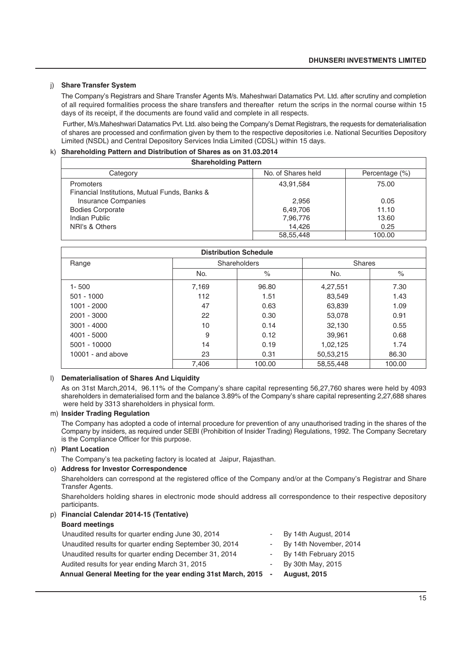#### i) Share Transfer System

The Company's Registrars and Share Transfer Agents M/s. Maheshwari Datamatics Pvt. Ltd. after scrutiny and completion of all required formalities process the share transfers and thereafter return the scrips in the normal course within 15 days of its receipt, if the documents are found valid and complete in all respects.

Further, M/s.Maheshwari Datamatics Pvt. Ltd. also being the Company's Demat Registrars, the reguests for dematerialisation of shares are processed and confirmation given by them to the respective depositories i.e. National Securities Depository Limited (NSDL) and Central Depository Services India Limited (CDSL) within 15 days.

#### k) Shareholding Pattern and Distribution of Shares as on 31.03.2014

| <b>Shareholding Pattern</b>                   |                    |                |  |  |
|-----------------------------------------------|--------------------|----------------|--|--|
| Category                                      | No. of Shares held | Percentage (%) |  |  |
| <b>Promoters</b>                              | 43,91,584          | 75.00          |  |  |
| Financial Institutions, Mutual Funds, Banks & |                    |                |  |  |
| <b>Insurance Companies</b>                    | 2.956              | 0.05           |  |  |
| <b>Bodies Corporate</b>                       | 6,49,706           | 11.10          |  |  |
| Indian Public                                 | 7,96,776           | 13.60          |  |  |
| NRI's & Others                                | 14.426             | 0.25           |  |  |
|                                               | 58,55,448          | 100.00         |  |  |

| <b>Distribution Schedule</b> |              |        |               |        |
|------------------------------|--------------|--------|---------------|--------|
| Range                        | Shareholders |        | <b>Shares</b> |        |
|                              | No.          | $\%$   | No.           | $\%$   |
| $1 - 500$                    | 7,169        | 96.80  | 4,27,551      | 7.30   |
| $501 - 1000$                 | 112          | 1.51   | 83,549        | 1.43   |
| $1001 - 2000$                | 47           | 0.63   | 63,839        | 1.09   |
| 2001 - 3000                  | 22           | 0.30   | 53,078        | 0.91   |
| $3001 - 4000$                | 10           | 0.14   | 32,130        | 0.55   |
| $4001 - 5000$                | 9            | 0.12   | 39,961        | 0.68   |
| $5001 - 10000$               | 14           | 0.19   | 1,02,125      | 1.74   |
| 10001 - and above            | 23           | 0.31   | 50,53,215     | 86.30  |
|                              | 7.406        | 100.00 | 58,55,448     | 100.00 |

#### I) Dematerialisation of Shares And Liquidity

As on 31st March, 2014, 96.11% of the Company's share capital representing 56, 27, 760 shares were held by 4093 shareholders in dematerialised form and the balance 3.89% of the Company's share capital representing 2.27,688 shares were held by 3313 shareholders in physical form.

#### m) Insider Trading Regulation

The Company has adopted a code of internal procedure for prevention of any unauthorised trading in the shares of the Company by insiders, as required under SEBI (Prohibition of Insider Trading) Requlations, 1992. The Company Secretary is the Compliance Officer for this purpose.

#### n) Plant Location

The Company's tea packeting factory is located at Jaipur, Rajasthan.

#### o) Address for Investor Correspondence

Shareholders can correspond at the registered office of the Company and/or at the Company's Registrar and Share Transfer Agents.

Shareholders holding shares in electronic mode should address all correspondence to their respective depository participants.

## p) Financial Calendar 2014-15 (Tentative)

#### **Board meetings**

| Unaudited results for quarter ending June 30, 2014            | By 14th August, 2014     |
|---------------------------------------------------------------|--------------------------|
| Unaudited results for quarter ending September 30, 2014       | - By 14th November, 2014 |
| Unaudited results for quarter ending December 31, 2014        | - By 14th February 2015  |
| Audited results for year ending March 31, 2015                | By 30th May, 2015        |
| Annual General Meeting for the year ending 31st March, 2015 - | <b>August, 2015</b>      |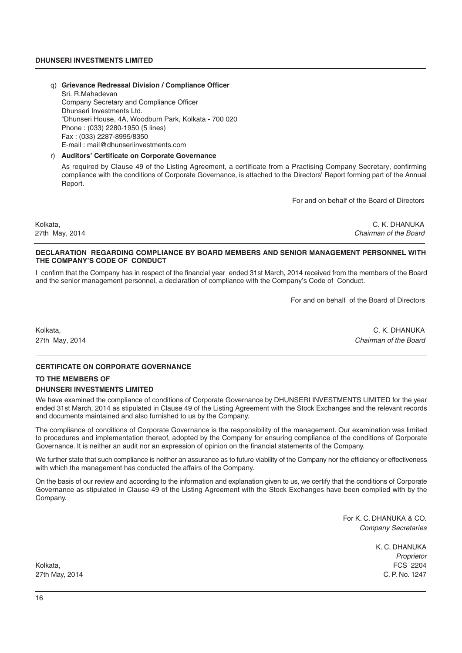#### **DHUNSERI INVESTMENTS LIMITED**

g) Grievance Redressal Division / Compliance Officer Sri, R.Mahadevan Company Secretary and Compliance Officer Dhunseri Investments Ltd. "Dhunseri House, 4A, Woodburn Park, Kolkata - 700 020 Phone: (033) 2280-1950 (5 lines) Fax: (033) 2287-8995/8350 E-mail: mail@dhunseriinvestments.com

#### r) Auditors' Certificate on Corporate Governance

As required by Clause 49 of the Listing Agreement, a certificate from a Practising Company Secretary, confirming compliance with the conditions of Corporate Governance, is attached to the Directors' Report forming part of the Annual Report.

For and on behalf of the Board of Directors

Kolkata. 27th May, 2014

C. K. DHANUKA Chairman of the Board

#### DECLARATION REGARDING COMPLIANCE BY BOARD MEMBERS AND SENIOR MANAGEMENT PERSONNEL WITH THE COMPANY'S CODE OF CONDUCT

I confirm that the Company has in respect of the financial year ended 31st March, 2014 received from the members of the Board and the senior management personnel, a declaration of compliance with the Company's Code of Conduct.

For and on behalf of the Board of Directors

Kolkata. 27th Mav. 2014

C. K. DHANIJKA Chairman of the Board

#### **CERTIFICATE ON CORPORATE GOVERNANCE**

# TO THE MEMBERS OF

#### **DHUNSERI INVESTMENTS LIMITED**

We have examined the compliance of conditions of Corporate Governance by DHUNSERI INVESTMENTS LIMITED for the year ended 31st March, 2014 as stipulated in Clause 49 of the Listing Agreement with the Stock Exchanges and the relevant records and documents maintained and also furnished to us by the Company.

The compliance of conditions of Corporate Governance is the responsibility of the management. Our examination was limited to procedures and implementation thereof, adopted by the Company for ensuring compliance of the conditions of Corporate Governance. It is neither an audit nor an expression of opinion on the financial statements of the Company.

We further state that such compliance is neither an assurance as to future viability of the Company nor the efficiency or effectiveness with which the management has conducted the affairs of the Company.

On the basis of our review and according to the information and explanation given to us, we certify that the conditions of Corporate Governance as stipulated in Clause 49 of the Listing Agreement with the Stock Exchanges have been complied with by the Company.

> For K. C. DHANUKA & CO. **Company Secretaries**

> > K. C. DHANUKA Proprietor **FCS 2204** C. P. No. 1247

Kolkata. 27th May, 2014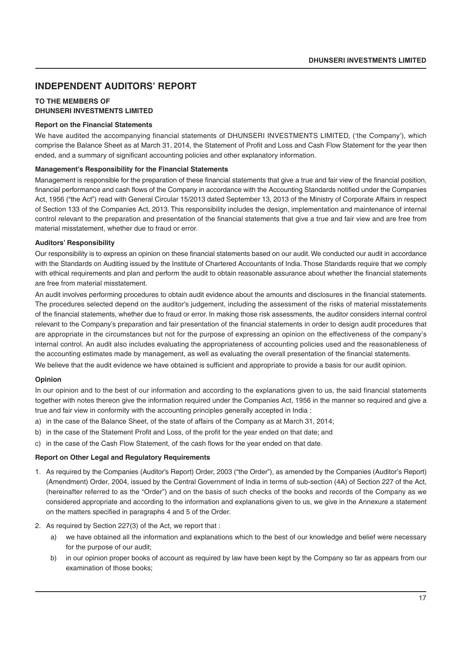## **INDEPENDENT AUDITORS' REPORT**

## TO THE MEMBERS OF **DHUNSERI INVESTMENTS LIMITED**

#### **Report on the Financial Statements**

We have audited the accompanying financial statements of DHUNSERI INVESTMENTS LIMITED, ('the Company'), which comprise the Balance Sheet as at March 31, 2014, the Statement of Profit and Loss and Cash Flow Statement for the year then ended, and a summary of significant accounting policies and other explanatory information.

#### **Management's Responsibility for the Financial Statements**

Management is responsible for the preparation of these financial statements that give a true and fair view of the financial position, financial performance and cash flows of the Company in accordance with the Accounting Standards notified under the Companies Act, 1956 ("the Act") read with General Circular 15/2013 dated September 13, 2013 of the Ministry of Corporate Affairs in respect of Section 133 of the Companies Act, 2013. This responsibility includes the design, implementation and maintenance of internal control relevant to the preparation and presentation of the financial statements that give a true and fair view and are free from material misstatement, whether due to fraud or error.

#### **Auditors' Responsibility**

Our responsibility is to express an opinion on these financial statements based on our audit. We conducted our audit in accordance with the Standards on Auditing issued by the Institute of Chartered Accountants of India. Those Standards require that we comply with ethical requirements and plan and perform the audit to obtain reasonable assurance about whether the financial statements are free from material misstatement.

An audit involves performing procedures to obtain audit evidence about the amounts and disclosures in the financial statements. The procedures selected depend on the auditor's judgement, including the assessment of the risks of material misstatements of the financial statements, whether due to fraud or error. In making those risk assessments, the auditor considers internal control relevant to the Company's preparation and fair presentation of the financial statements in order to design audit procedures that are appropriate in the circumstances but not for the purpose of expressing an opinion on the effectiveness of the company's internal control. An audit also includes evaluating the appropriateness of accounting policies used and the reasonableness of the accounting estimates made by management, as well as evaluating the overall presentation of the financial statements.

We believe that the audit evidence we have obtained is sufficient and appropriate to provide a basis for our audit opinion.

#### Opinion

In our opinion and to the best of our information and according to the explanations given to us, the said financial statements together with notes thereon give the information required under the Companies Act, 1956 in the manner so required and give a true and fair view in conformity with the accounting principles generally accepted in India :

- a) in the case of the Balance Sheet, of the state of affairs of the Company as at March 31, 2014;
- b) in the case of the Statement Profit and Loss, of the profit for the year ended on that date; and
- c) in the case of the Cash Flow Statement, of the cash flows for the year ended on that date.

#### **Report on Other Legal and Regulatory Requirements**

- 1. As required by the Companies (Auditor's Report) Order, 2003 ("the Order"), as amended by the Companies (Auditor's Report) (Amendment) Order, 2004, issued by the Central Government of India in terms of sub-section (4A) of Section 227 of the Act, (hereinafter referred to as the "Order") and on the basis of such checks of the books and records of the Company as we considered appropriate and according to the information and explanations given to us, we give in the Annexure a statement on the matters specified in paragraphs 4 and 5 of the Order.
- 2. As required by Section 227(3) of the Act, we report that :
	- $a)$ we have obtained all the information and explanations which to the best of our knowledge and belief were necessary for the purpose of our audit;
	- b) in our opinion proper books of account as required by law have been kept by the Company so far as appears from our examination of those books;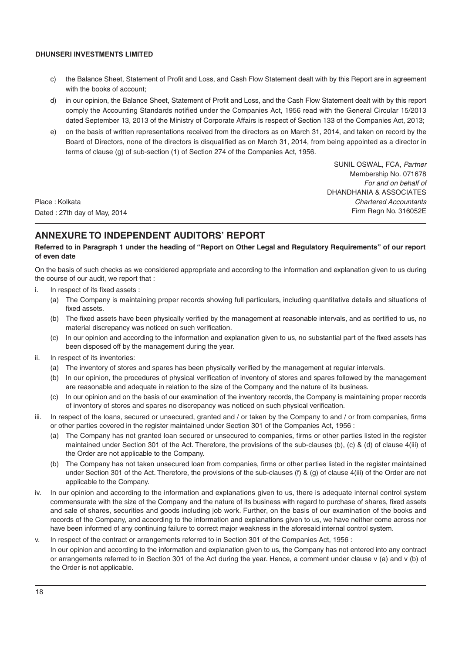- the Balance Sheet, Statement of Profit and Loss, and Cash Flow Statement dealt with by this Report are in agreement  $\mathsf{C}$ with the books of account;
- in our opinion, the Balance Sheet, Statement of Profit and Loss, and the Cash Flow Statement dealt with by this report  $(h)$ comply the Accounting Standards notified under the Companies Act, 1956 read with the General Circular 15/2013 dated September 13, 2013 of the Ministry of Corporate Affairs is respect of Section 133 of the Companies Act, 2013;
- on the basis of written representations received from the directors as on March 31, 2014, and taken on record by the  $e)$ Board of Directors, none of the directors is disgualified as on March 31, 2014, from being appointed as a director in terms of clause (g) of sub-section (1) of Section 274 of the Companies Act, 1956.

Place: Kolkata Dated: 27th day of May, 2014

SUNIL OSWAL, FCA, Partner Membership No. 071678 For and on behalf of **DHANDHANIA & ASSOCIATES Chartered Accountants** Firm Rean No. 316052E

## ANNEXURE TO INDEPENDENT AUDITORS' REPORT

#### Referred to in Paragraph 1 under the heading of "Report on Other Legal and Regulatory Requirements" of our report of even date

On the basis of such checks as we considered appropriate and according to the information and explanation given to us during the course of our audit, we report that:

- In respect of its fixed assets : i.
	- (a) The Company is maintaining proper records showing full particulars, including quantitative details and situations of fixed assets.
	- (b) The fixed assets have been physically verified by the management at reasonable intervals, and as certified to us, no material discrepancy was noticed on such verification.
	- (c) In our opinion and according to the information and explanation given to us, no substantial part of the fixed assets has been disposed off by the management during the year.
- In respect of its inventories: ii.
	- (a) The inventory of stores and spares has been physically verified by the management at regular intervals.
	- (b) In our opinion, the procedures of physical verification of inventory of stores and spares followed by the management are reasonable and adequate in relation to the size of the Company and the nature of its business.
	- In our opinion and on the basis of our examination of the inventory records, the Company is maintaining proper records  $(c)$ of inventory of stores and spares no discrepancy was noticed on such physical verification.
- In respect of the loans, secured or unsecured, granted and / or taken by the Company to and / or from companies, firms iii. or other parties covered in the register maintained under Section 301 of the Companies Act, 1956 :
	- (a) The Company has not granted loan secured or unsecured to companies, firms or other parties listed in the register maintained under Section 301 of the Act. Therefore, the provisions of the sub-clauses (b), (c) & (d) of clause 4(iii) of the Order are not applicable to the Company.
	- (b) The Company has not taken unsecured loan from companies, firms or other parties listed in the register maintained under Section 301 of the Act. Therefore, the provisions of the sub-clauses (f) & (g) of clause 4(iii) of the Order are not applicable to the Company.
- In our opinion and according to the information and explanations given to us, there is adequate internal control system iv. commensurate with the size of the Company and the nature of its business with regard to purchase of shares, fixed assets and sale of shares, securities and goods including job work. Further, on the basis of our examination of the books and records of the Company, and according to the information and explanations given to us, we have neither come across nor have been informed of any continuing failure to correct major weakness in the aforesaid internal control system.
- In respect of the contract or arrangements referred to in Section 301 of the Companies Act. 1956 :  $V_{\cdot}$

In our opinion and according to the information and explanation given to us, the Company has not entered into any contract or arrangements referred to in Section 301 of the Act during the year. Hence, a comment under clause v (a) and v (b) of the Order is not applicable.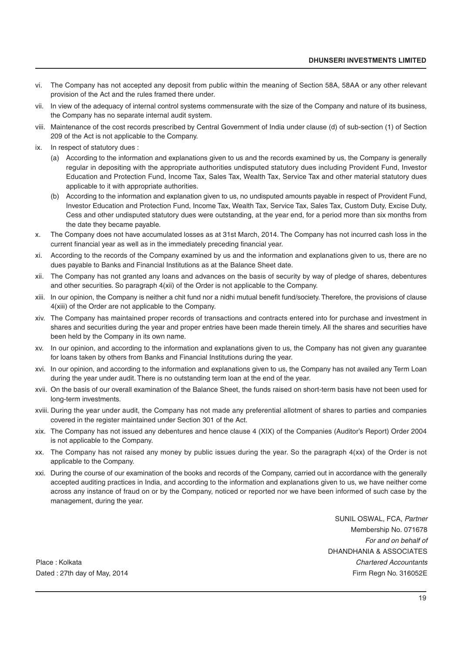- The Company has not accepted any deposit from public within the meaning of Section 58A, 58AA or any other relevant vi provision of the Act and the rules framed there under.
- vii. In view of the adequacy of internal control systems commensurate with the size of the Company and nature of its business, the Company has no separate internal audit system.
- viii. Maintenance of the cost records prescribed by Central Government of India under clause (d) of sub-section (1) of Section 209 of the Act is not applicable to the Company.
- ix. In respect of statutory dues :
	- (a) According to the information and explanations given to us and the records examined by us, the Company is generally regular in depositing with the appropriate authorities undisputed statutory dues including Provident Fund, Investor Education and Protection Fund, Income Tax, Sales Tax, Wealth Tax, Service Tax and other material statutory dues applicable to it with appropriate authorities.
	- (b) According to the information and explanation given to us, no undisputed amounts payable in respect of Provident Fund, Investor Education and Protection Fund, Income Tax, Wealth Tax, Service Tax, Sales Tax, Custom Duty, Excise Duty, Cess and other undisputed statutory dues were outstanding, at the year end, for a period more than six months from the date they became payable.
- $\mathsf{x}$ . The Company does not have accumulated losses as at 31st March, 2014. The Company has not incurred cash loss in the current financial year as well as in the immediately preceding financial year.
- According to the records of the Company examined by us and the information and explanations given to us, there are no xi. dues payable to Banks and Financial Institutions as at the Balance Sheet date.
- xii. The Company has not granted any loans and advances on the basis of security by way of pledge of shares, debentures and other securities. So paragraph 4(xii) of the Order is not applicable to the Company.
- xiii. In our opinion, the Company is neither a chit fund nor a nidhi mutual benefit fund/society. Therefore, the provisions of clause 4(xiii) of the Order are not applicable to the Company.
- xiv. The Company has maintained proper records of transactions and contracts entered into for purchase and investment in shares and securities during the year and proper entries have been made therein timely. All the shares and securities have been held by the Company in its own name.
- xv. In our opinion, and according to the information and explanations given to us, the Company has not given any quarantee for loans taken by others from Banks and Financial Institutions during the year.
- xvi. In our opinion, and according to the information and explanations given to us, the Company has not availed any Term Loan during the year under audit. There is no outstanding term loan at the end of the year.
- xvii. On the basis of our overall examination of the Balance Sheet, the funds raised on short-term basis have not been used for long-term investments.
- xviii. During the year under audit, the Company has not made any preferential allotment of shares to parties and companies covered in the register maintained under Section 301 of the Act.
- xix. The Company has not issued any debentures and hence clause 4 (XIX) of the Companies (Auditor's Report) Order 2004 is not applicable to the Company.
- xx. The Company has not raised any money by public issues during the year. So the paragraph 4(xx) of the Order is not applicable to the Company.
- xxi. During the course of our examination of the books and records of the Company, carried out in accordance with the generally accepted auditing practices in India, and according to the information and explanations given to us, we have neither come across any instance of fraud on or by the Company, noticed or reported nor we have been informed of such case by the management, during the year.

SUNIL OSWAL, FCA, Partner Membership No. 071678 For and on behalf of DHANDHANIA & ASSOCIATES **Chartered Accountants** Firm Regn No. 316052E

Place: Kolkata Dated: 27th day of May, 2014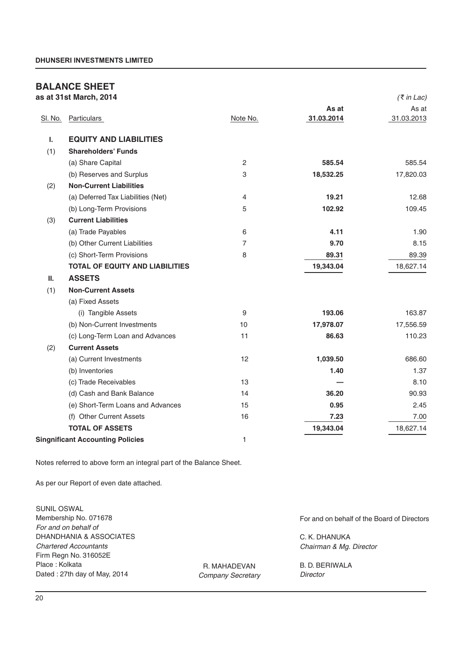## **BALANCE SHEET**

as at 31st March, 2014

|         | as at 31st March, 2014                  |                |            | $(3\pi)$ in Lac) |
|---------|-----------------------------------------|----------------|------------|------------------|
|         |                                         |                | As at      | As at            |
| SI. No. | Particulars                             | Note No.       | 31.03.2014 | 31.03.2013       |
| L.      | <b>EQUITY AND LIABILITIES</b>           |                |            |                  |
| (1)     | <b>Shareholders' Funds</b>              |                |            |                  |
|         | (a) Share Capital                       | $\overline{c}$ | 585.54     | 585.54           |
|         | (b) Reserves and Surplus                | 3              | 18,532.25  | 17,820.03        |
| (2)     | <b>Non-Current Liabilities</b>          |                |            |                  |
|         | (a) Deferred Tax Liabilities (Net)      | 4              | 19.21      | 12.68            |
|         | (b) Long-Term Provisions                | 5              | 102.92     | 109.45           |
| (3)     | <b>Current Liabilities</b>              |                |            |                  |
|         | (a) Trade Payables                      | 6              | 4.11       | 1.90             |
|         | (b) Other Current Liabilities           | $\overline{7}$ | 9.70       | 8.15             |
|         | (c) Short-Term Provisions               | 8              | 89.31      | 89.39            |
|         | <b>TOTAL OF EQUITY AND LIABILITIES</b>  |                | 19,343.04  | 18,627.14        |
| Ш.      | <b>ASSETS</b>                           |                |            |                  |
| (1)     | <b>Non-Current Assets</b>               |                |            |                  |
|         | (a) Fixed Assets                        |                |            |                  |
|         | (i) Tangible Assets                     | 9              | 193.06     | 163.87           |
|         | (b) Non-Current Investments             | 10             | 17,978.07  | 17,556.59        |
|         | (c) Long-Term Loan and Advances         | 11             | 86.63      | 110.23           |
| (2)     | <b>Current Assets</b>                   |                |            |                  |
|         | (a) Current Investments                 | 12             | 1,039.50   | 686.60           |
|         | (b) Inventories                         |                | 1.40       | 1.37             |
|         | (c) Trade Receivables                   | 13             |            | 8.10             |
|         | (d) Cash and Bank Balance               | 14             | 36.20      | 90.93            |
|         | (e) Short-Term Loans and Advances       | 15             | 0.95       | 2.45             |
|         | (f) Other Current Assets                | 16             | 7.23       | 7.00             |
|         | <b>TOTAL OF ASSETS</b>                  |                | 19,343.04  | 18,627.14        |
|         | <b>Singnificant Accounting Policies</b> | 1              |            |                  |

Notes referred to above form an integral part of the Balance Sheet.

As per our Report of even date attached.

| For and on behalf of the Board of Directors |
|---------------------------------------------|
|                                             |
| C. K. DHANUKA                               |
| Chairman & Mg. Director                     |
|                                             |
| B. D. BERIWALA<br>R. MAHADEVAN              |
| Director<br>Company Secretary               |
|                                             |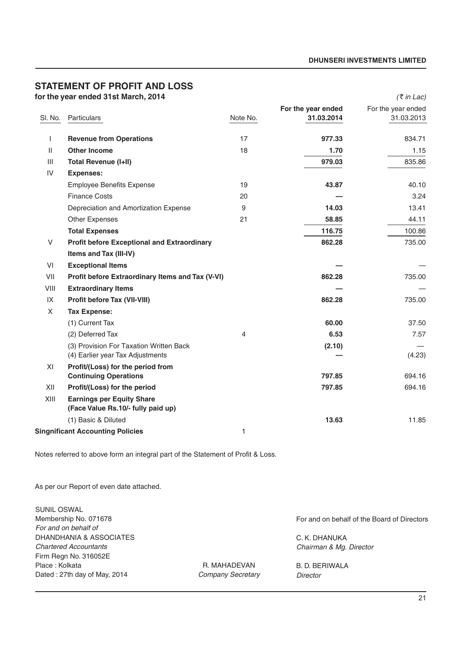# **STATEMENT OF PROFIT AND LOSS**

for the year ended 31st March, 2014

|              | for the year ended 31st March, 2014                                    |          |                    | $(3\overline{5}$ in Lac) |
|--------------|------------------------------------------------------------------------|----------|--------------------|--------------------------|
|              |                                                                        |          | For the year ended | For the year ended       |
| SI. No.      | <b>Particulars</b>                                                     | Note No. | 31.03.2014         | 31.03.2013               |
| L            | <b>Revenue from Operations</b>                                         | 17       | 977.33             | 834.71                   |
| $\mathbf{H}$ | <b>Other Income</b>                                                    | 18       | 1.70               | 1.15                     |
| III          | <b>Total Revenue (I+II)</b>                                            |          | 979.03             | 835.86                   |
| IV           | <b>Expenses:</b>                                                       |          |                    |                          |
|              | <b>Employee Benefits Expense</b>                                       | 19       | 43.87              | 40.10                    |
|              | <b>Finance Costs</b>                                                   | 20       |                    | 3.24                     |
|              | Depreciation and Amortization Expense                                  | 9        | 14.03              | 13.41                    |
|              | Other Expenses                                                         | 21       | 58.85              | 44.11                    |
|              | <b>Total Expenses</b>                                                  |          | 116.75             | 100.86                   |
| V            | <b>Profit before Exceptional and Extraordinary</b>                     |          | 862.28             | 735.00                   |
|              | Items and Tax (III-IV)                                                 |          |                    |                          |
| VI           | <b>Exceptional Items</b>                                               |          |                    |                          |
| VII          | Profit before Extraordinary Items and Tax (V-VI)                       |          | 862.28             | 735.00                   |
| VIII         | <b>Extraordinary Items</b>                                             |          |                    |                          |
| IX           | Profit before Tax (VII-VIII)                                           |          | 862.28             | 735.00                   |
| X            | <b>Tax Expense:</b>                                                    |          |                    |                          |
|              | (1) Current Tax                                                        |          | 60.00              | 37.50                    |
|              | (2) Deferred Tax                                                       | 4        | 6.53               | 7.57                     |
|              | (3) Provision For Taxation Written Back                                |          | (2.10)             |                          |
|              | (4) Earlier year Tax Adjustments                                       |          |                    | (4.23)                   |
| XI           | Profit/(Loss) for the period from                                      |          |                    |                          |
|              | <b>Continuing Operations</b>                                           |          | 797.85             | 694.16                   |
| XII          | Profit/(Loss) for the period                                           |          | 797.85             | 694.16                   |
| XIII         | <b>Earnings per Equity Share</b><br>(Face Value Rs.10/- fully paid up) |          |                    |                          |
|              | (1) Basic & Diluted                                                    |          | 13.63              | 11.85                    |
|              | <b>Singnificant Accounting Policies</b>                                | 1        |                    |                          |

Notes referred to above form an integral part of the Statement of Profit & Loss.

As per our Report of even date attached.

| <b>SUNIL OSWAL</b>           |                   |                                             |
|------------------------------|-------------------|---------------------------------------------|
| Membership No. 071678        |                   | For and on behalf of the Board of Directors |
| For and on behalf of         |                   |                                             |
| DHANDHANIA & ASSOCIATES      |                   | C. K. DHANUKA                               |
| <b>Chartered Accountants</b> |                   | Chairman & Mg. Director                     |
| Firm Regn No. 316052E        |                   |                                             |
| Place: Kolkata               | R. MAHADEVAN      | B.D. BERIWALA                               |
| Dated: 27th day of May, 2014 | Company Secretary | Director                                    |
|                              |                   |                                             |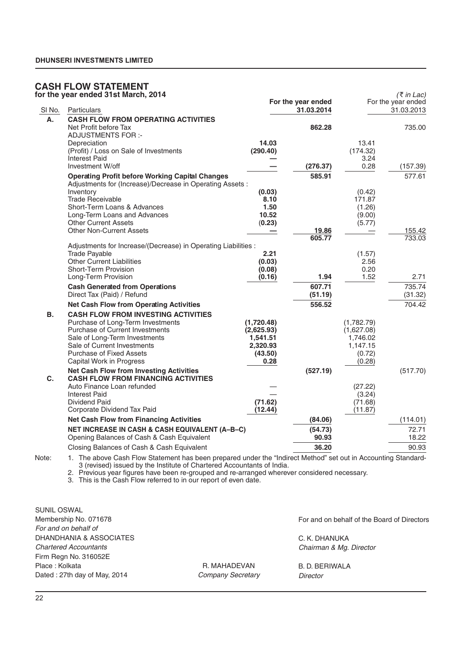# **CASH FLOW STATEMENT**<br>for the year ended 31st March. 2

|        | for the year ended 31st March, 2014<br>Particulars                                                                  |                   | For the year ended<br>31.03.2014 |                           | (₹ in Lac)<br>For the year ended<br>31.03.2013 |
|--------|---------------------------------------------------------------------------------------------------------------------|-------------------|----------------------------------|---------------------------|------------------------------------------------|
| SI No. |                                                                                                                     |                   |                                  |                           |                                                |
| А.     | <b>CASH FLOW FROM OPERATING ACTIVITIES</b><br>Net Profit before Tax<br><b>ADJUSTMENTS FOR :-</b>                    |                   | 862.28                           |                           | 735.00                                         |
|        | Depreciation<br>(Profit) / Loss on Sale of Investments<br><b>Interest Paid</b>                                      | 14.03<br>(290.40) |                                  | 13.41<br>(174.32)<br>3.24 |                                                |
|        | Investment W/off                                                                                                    |                   | (276.37)                         | 0.28                      | (157.39)                                       |
|        | <b>Operating Profit before Working Capital Changes</b><br>Adjustments for (Increase)/Decrease in Operating Assets : |                   | 585.91                           |                           | 577.61                                         |
|        | Inventory                                                                                                           | (0.03)            |                                  | (0.42)                    |                                                |
|        | <b>Trade Receivable</b>                                                                                             | 8.10              |                                  | 171.87                    |                                                |
|        | Short-Term Loans & Advances                                                                                         | 1.50              |                                  | (1.26)                    |                                                |
|        | Long-Term Loans and Advances                                                                                        | 10.52             |                                  | (9.00)                    |                                                |
|        | <b>Other Current Assets</b>                                                                                         | (0.23)            |                                  | (5.77)                    |                                                |
|        | <b>Other Non-Current Assets</b>                                                                                     | —                 | 19.86                            |                           | 155.42                                         |
|        |                                                                                                                     |                   | 605.77                           |                           | 733.03                                         |
|        | Adjustments for Increase/(Decrease) in Operating Liabilities :                                                      |                   |                                  |                           |                                                |
|        | <b>Trade Payable</b>                                                                                                | 2.21              |                                  | (1.57)                    |                                                |
|        | <b>Other Current Liabilities</b>                                                                                    | (0.03)            |                                  | 2.56                      |                                                |
|        | Short-Term Provision                                                                                                | (0.08)            |                                  | 0.20                      |                                                |
|        | Long-Term Provision                                                                                                 | (0.16)            | 1.94                             | 1.52                      | 2.71                                           |
|        | <b>Cash Generated from Operations</b>                                                                               |                   | 607.71                           |                           | 735.74                                         |
|        | Direct Tax (Paid) / Refund                                                                                          |                   | (51.19)                          |                           | (31.32)                                        |
|        | <b>Net Cash Flow from Operating Activities</b>                                                                      |                   | 556.52                           |                           | 704.42                                         |
| В.     | <b>CASH FLOW FROM INVESTING ACTIVITIES</b>                                                                          |                   |                                  |                           |                                                |
|        | Purchase of Long-Term Investments                                                                                   | (1,720.48)        |                                  | (1,782.79)                |                                                |
|        | Purchase of Current Investments                                                                                     | (2,625.93)        |                                  | (1,627.08)                |                                                |
|        | Sale of Long-Term Investments                                                                                       | 1,541.51          |                                  | 1,746.02                  |                                                |
|        | Sale of Current Investments                                                                                         | 2,320.93          |                                  | 1,147.15                  |                                                |
|        | Purchase of Fixed Assets                                                                                            | (43.50)           |                                  | (0.72)                    |                                                |
|        | Capital Work in Progress                                                                                            | 0.28              |                                  | (0.28)                    |                                                |
|        | <b>Net Cash Flow from Investing Activities</b>                                                                      |                   | (527.19)                         |                           | (517.70)                                       |
| C.     | <b>CASH FLOW FROM FINANCING ACTIVITIES</b>                                                                          |                   |                                  |                           |                                                |
|        | Auto Finance Loan refunded                                                                                          |                   |                                  | (27.22)                   |                                                |
|        | <b>Interest Paid</b>                                                                                                |                   |                                  | (3.24)                    |                                                |
|        | Dividend Paid                                                                                                       | (71.62)           |                                  | (71.68)                   |                                                |
|        | Corporate Dividend Tax Paid                                                                                         | (12.44)           |                                  | (11.87)                   |                                                |
|        | <b>Net Cash Flow from Financing Activities</b>                                                                      |                   | (84.06)                          |                           | (114.01)                                       |
|        | <b>NET INCREASE IN CASH &amp; CASH EQUIVALENT (A-B-C)</b>                                                           |                   | (54.73)                          |                           | 72.71                                          |
|        | Opening Balances of Cash & Cash Equivalent                                                                          |                   | 90.93                            |                           | 18.22                                          |
|        | Closing Balances of Cash & Cash Equivalent                                                                          |                   | 36.20                            |                           | 90.93                                          |
| Note:  | 1. The above Cash Flow Statement has been prepared under the "Indirect Method" set out in Accounting Standard-      |                   |                                  |                           |                                                |

1. The above Cash Flow Statement has been prepared under the "Indirect Method" set out in Accounting Standard-3 (revised) issued by the Institute of Chartered Accountants of India.

2. Previous year figures have been re-grouped and re-arranged wherever considered necessary.<br>3. This is the Cash Flow referred to in our report of even date.

**SUNIL OSWAL** Membership No. 071678 For and on behalf of the Board of Directors For and on behalf of **DHANDHANIA & ASSOCIATES** C. K. DHANUKA **Chartered Accountants** Chairman & Mg. Director Firm Regn No. 316052E R. MAHADEVAN Place: Kolkata **B. D. BERIWALA** Dated: 27th day of May, 2014 Company Secretary Director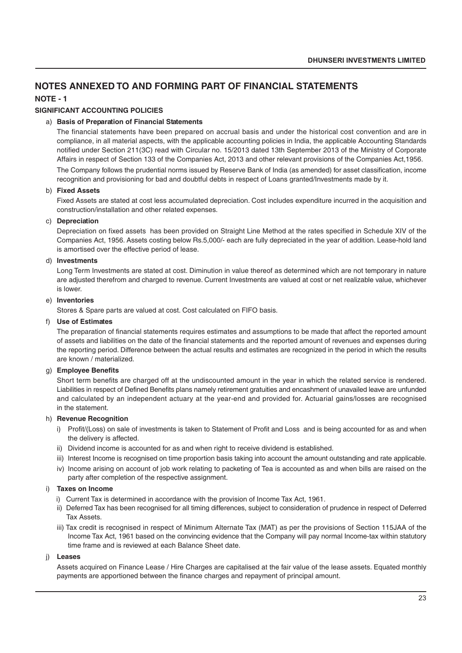## NOTE - 1

## **SIGNIFICANT ACCOUNTING POLICIES**

#### a) Basis of Preparation of Financial Statements

The financial statements have been prepared on accrual basis and under the historical cost convention and are in compliance, in all material aspects, with the applicable accounting policies in India, the applicable Accounting Standards notified under Section 211(3C) read with Circular no. 15/2013 dated 13th September 2013 of the Ministry of Corporate Affairs in respect of Section 133 of the Companies Act, 2013 and other relevant provisions of the Companies Act, 1956.

The Company follows the prudential norms issued by Reserve Bank of India (as amended) for asset classification, income recognition and provisioning for bad and doubtful debts in respect of Loans granted/Investments made by it.

#### b) Fixed Assets

Fixed Assets are stated at cost less accumulated depreciation. Cost includes expenditure incurred in the acquisition and construction/installation and other related expenses.

#### c) Depreciation

Depreciation on fixed assets has been provided on Straight Line Method at the rates specified in Schedule XIV of the Companies Act, 1956. Assets costing below Rs.5,000/- each are fully depreciated in the year of addition. Lease-hold land is amortised over the effective period of lease.

#### d) Investments

Long Term Investments are stated at cost. Diminution in value thereof as determined which are not temporary in nature are adjusted therefrom and charged to revenue. Current Investments are valued at cost or net realizable value, whichever is lower.

### e) Inventories

Stores & Spare parts are valued at cost. Cost calculated on FIFO basis.

## f) Use of Estimates

The preparation of financial statements requires estimates and assumptions to be made that affect the reported amount of assets and liabilities on the date of the financial statements and the reported amount of revenues and expenses during the reporting period. Difference between the actual results and estimates are recognized in the period in which the results are known / materialized.

#### g) Employee Benefits

Short term benefits are charged off at the undiscounted amount in the year in which the related service is rendered. Liabilities in respect of Defined Benefits plans namely retirement gratuities and encashment of unavailed leave are unfunded and calculated by an independent actuary at the year-end and provided for. Actuarial gains/losses are recognised in the statement.

#### h) Revenue Recognition

- i) Profit/(Loss) on sale of investments is taken to Statement of Profit and Loss and is being accounted for as and when the delivery is affected.
- ii) Dividend income is accounted for as and when right to receive dividend is established.
- iii) Interest Income is recognised on time proportion basis taking into account the amount outstanding and rate applicable.
- iv) Income arising on account of job work relating to packeting of Tea is accounted as and when bills are raised on the party after completion of the respective assignment.

#### i) Taxes on Income

- i) Current Tax is determined in accordance with the provision of Income Tax Act, 1961.
- ii) Deferred Tax has been recognised for all timing differences, subject to consideration of prudence in respect of Deferred **Tax Assets**
- iii) Tax credit is recognised in respect of Minimum Alternate Tax (MAT) as per the provisions of Section 115JAA of the Income Tax Act, 1961 based on the convincing evidence that the Company will pay normal Income-tax within statutory time frame and is reviewed at each Balance Sheet date.

#### i) Leases

Assets acquired on Finance Lease / Hire Charges are capitalised at the fair value of the lease assets. Equated monthly payments are apportioned between the finance charges and repayment of principal amount.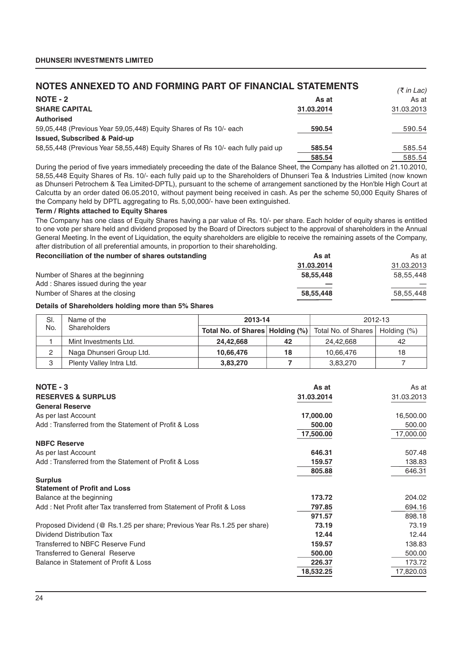| NOTES ANNEXED TO AND FORMING PART OF FINANCIAL STATEMENTS                       |            | ( ₹ in Lac) |
|---------------------------------------------------------------------------------|------------|-------------|
| $NOTE - 2$                                                                      | As at      | As at       |
| <b>SHARE CAPITAL</b>                                                            | 31.03.2014 | 31.03.2013  |
| <b>Authorised</b>                                                               |            |             |
| 59,05,448 (Previous Year 59,05,448) Equity Shares of Rs 10/- each               | 590.54     | 590.54      |
| <b>Issued, Subscribed &amp; Paid-up</b>                                         |            |             |
| 58,55,448 (Previous Year 58,55,448) Equity Shares of Rs 10/- each fully paid up | 585.54     | 585.54      |
|                                                                                 | 585.54     | 585.54      |

During the period of five years immediately preceeding the date of the Balance Sheet, the Company has allotted on 21.10.2010, 58,55,448 Equity Shares of Rs. 10/- each fully paid up to the Shareholders of Dhunseri Tea & Industries Limited (now known as Dhunseri Petrochem & Tea Limited-DPTL), pursuant to the scheme of arrangement sanctioned by the Hon'ble High Court at Calcutta by an order dated 06.05.2010, without payment being received in cash. As per the scheme 50,000 Equity Shares of the Company held by DPTL aggregating to Rs. 5,00,000/- have been extinguished.

#### Term / Rights attached to Equity Shares

The Company has one class of Equity Shares having a par value of Rs. 10/- per share. Each holder of equity shares is entitled to one vote per share held and dividend proposed by the Board of Directors subject to the approval of shareholders in the Annual General Meeting. In the event of Liquidation, the equity shareholders are eligible to receive the remaining assets of the Company, after distribution of all preferential amounts, in proportion to their shareholding.

As at

As at

#### Beconciliation of the number of shares outstanding

|                                    | 31.03.2014 | 31.03.2013 |
|------------------------------------|------------|------------|
| Number of Shares at the beginning  | 58,55,448  | 58,55,448  |
| Add: Shares issued during the year |            |            |
| Number of Shares at the closing    | 58,55,448  | 58,55,448  |

#### Details of Shareholders holding more than 5% Shares

| SI. | Name of the              | 2013-14                           |    | 2012-13                           |    |  |
|-----|--------------------------|-----------------------------------|----|-----------------------------------|----|--|
| No. | <b>Shareholders</b>      | Total No. of Shares   Holding (%) |    | Total No. of Shares   Holding (%) |    |  |
|     | Mint Investments Ltd.    | 24.42.668                         | 42 | 24.42.668                         | 42 |  |
|     | Naga Dhunseri Group Ltd. | 10.66.476                         | 18 | 10,66,476                         | 18 |  |
| ◠   | Plenty Valley Intra Ltd. | 3,83,270                          |    | 3,83,270                          |    |  |

| NOTE - 3                                                                 | As at      | As at      |
|--------------------------------------------------------------------------|------------|------------|
| <b>RESERVES &amp; SURPLUS</b>                                            | 31.03.2014 | 31.03.2013 |
| <b>General Reserve</b>                                                   |            |            |
| As per last Account                                                      | 17,000.00  | 16,500.00  |
| Add: Transferred from the Statement of Profit & Loss                     | 500.00     | 500.00     |
|                                                                          | 17,500.00  | 17,000.00  |
| <b>NBFC Reserve</b>                                                      |            |            |
| As per last Account                                                      | 646.31     | 507.48     |
| Add: Transferred from the Statement of Profit & Loss                     | 159.57     | 138.83     |
|                                                                          | 805.88     | 646.31     |
| <b>Surplus</b>                                                           |            |            |
| <b>Statement of Profit and Loss</b>                                      |            |            |
| Balance at the beginning                                                 | 173.72     | 204.02     |
| Add: Net Profit after Tax transferred from Statement of Profit & Loss    | 797.85     | 694.16     |
|                                                                          | 971.57     | 898.18     |
| Proposed Dividend (@ Rs.1.25 per share; Previous Year Rs.1.25 per share) | 73.19      | 73.19      |
| Dividend Distribution Tax                                                | 12.44      | 12.44      |
| Transferred to NBFC Reserve Fund                                         | 159.57     | 138.83     |
| Transferred to General Reserve                                           | 500.00     | 500.00     |
| Balance in Statement of Profit & Loss                                    | 226.37     | 173.72     |
|                                                                          | 18,532.25  | 17,820.03  |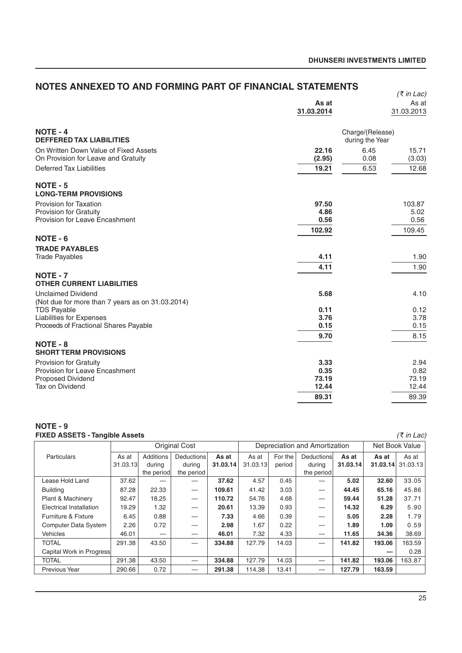|                                                       |                     |                                     | (₹ in Lac)          |
|-------------------------------------------------------|---------------------|-------------------------------------|---------------------|
|                                                       | As at<br>31.03.2014 |                                     | As at<br>31.03.2013 |
| <b>NOTE - 4</b><br><b>DEFFERED TAX LIABILITIES</b>    |                     | Charge/(Release)<br>during the Year |                     |
| On Written Down Value of Fixed Assets                 | 22.16               | 6.45                                | 15.71               |
| On Provision for Leave and Gratuity                   | (2.95)              | 0.08                                | (3.03)              |
| <b>Deferred Tax Liabilities</b>                       | 19.21               | 6.53                                | 12.68               |
| NOTE - 5<br><b>LONG-TERM PROVISIONS</b>               |                     |                                     |                     |
| <b>Provision for Taxation</b>                         | 97.50               |                                     | 103.87              |
| <b>Provision for Gratuity</b>                         | 4.86                |                                     | 5.02                |
| <b>Provision for Leave Encashment</b>                 | 0.56                |                                     | 0.56                |
|                                                       | 102.92              |                                     | 109.45              |
| <b>NOTE - 6</b>                                       |                     |                                     |                     |
| <b>TRADE PAYABLES</b>                                 |                     |                                     |                     |
| <b>Trade Payables</b>                                 | 4.11                |                                     | 1.90                |
|                                                       | 4.11                |                                     | 1.90                |
| <b>NOTE - 7</b><br><b>OTHER CURRENT LIABILITIES</b>   |                     |                                     |                     |
| <b>Unclaimed Dividend</b>                             | 5.68                |                                     | 4.10                |
| (Not due for more than 7 years as on 31.03.2014)      |                     |                                     |                     |
| <b>TDS Payable</b><br><b>Liabilities for Expenses</b> | 0.11<br>3.76        |                                     | 0.12<br>3.78        |
| Proceeds of Fractional Shares Payable                 | 0.15                |                                     | 0.15                |
|                                                       | 9.70                |                                     | 8.15                |
| NOTE - 8                                              |                     |                                     |                     |
| <b>SHORT TERM PROVISIONS</b>                          |                     |                                     |                     |
| Provision for Gratuity                                | 3.33                |                                     | 2.94                |
| <b>Provision for Leave Encashment</b>                 | 0.35                |                                     | 0.82                |
| Proposed Dividend                                     | 73.19               |                                     | 73.19               |
| Tax on Dividend                                       | 12.44               |                                     | 12.44               |
|                                                       | 89.31               |                                     | 89.39               |

## NOTE - 9 **FIXED ASSETS - Tangible Assets**

|                             | <b>Original Cost</b> |                  |                   |          |          | Depreciation and Amortization |            |          |          | Net Book Value |  |
|-----------------------------|----------------------|------------------|-------------------|----------|----------|-------------------------------|------------|----------|----------|----------------|--|
| <b>Particulars</b>          | As at                | <b>Additions</b> | <b>Deductions</b> | As at    | As at    | For the                       | Deductions | As at    | As at    | As at          |  |
|                             | 31.03.13             | during           | during            | 31.03.14 | 31.03.13 | period                        | during     | 31.03.14 | 31.03.14 | 31.03.13       |  |
|                             |                      | the period       | the period        |          |          |                               | the period |          |          |                |  |
| Lease Hold Land             | 37.62                | _                |                   | 37.62    | 4.57     | 0.45                          |            | 5.02     | 32.60    | 33.05          |  |
| <b>Building</b>             | 87.28                | 22.33            |                   | 109.61   | 41.42    | 3.03                          |            | 44.45    | 65.16    | 45.86          |  |
| Plant & Machinery           | 92.47                | 18.25            |                   | 110.72   | 54.76    | 4.68                          |            | 59.44    | 51.28    | 37.71          |  |
| Electrical Installation     | 19.29                | 1.32             |                   | 20.61    | 13.39    | 0.93                          |            | 14.32    | 6.29     | 5.90           |  |
| Furniture & Fixture         | 6.45                 | 0.88             |                   | 7.33     | 4.66     | 0.39                          |            | 5.05     | 2.28     | 1.79           |  |
| <b>Computer Data System</b> | 2.26                 | 0.72             |                   | 2.98     | 1.67     | 0.22                          |            | 1.89     | 1.09     | 0.59           |  |
| <b>Vehicles</b>             | 46.01                |                  | _                 | 46.01    | 7.32     | 4.33                          |            | 11.65    | 34.36    | 38.69          |  |
| <b>TOTAL</b>                | 291.38               | 43.50            |                   | 334.88   | 127.79   | 14.03                         |            | 141.82   | 193.06   | 163.59         |  |
| Capital Work in Progress    |                      |                  |                   |          |          |                               |            |          |          | 0.28           |  |
| <b>TOTAL</b>                | 291.38               | 43.50            |                   | 334.88   | 127.79   | 14.03                         | –          | 141.82   | 193.06   | 163.87         |  |
| Previous Year               | 290.66               | 0.72             |                   | 291.38   | 114.38   | 13.41                         |            | 127.79   | 163.59   |                |  |

 $(3\pi)$  in Lac)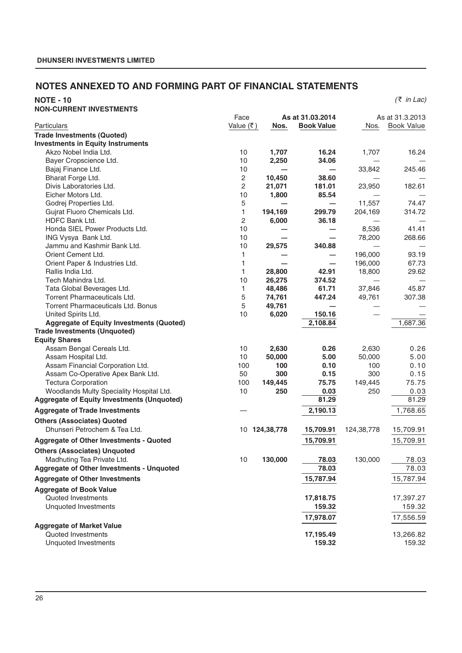$(\bar{z}$  in Lac)

| <b>NOTE - 10</b>               |  |
|--------------------------------|--|
|                                |  |
| <b>NON-CURRENT INVESTMENTS</b> |  |

|                                                                    | Face                      |               | As at 31.03.2014  |            | As at 31.3.2013   |
|--------------------------------------------------------------------|---------------------------|---------------|-------------------|------------|-------------------|
| Particulars                                                        | Value $(\overline{\tau})$ | Nos.          | <b>Book Value</b> | Nos.       | <b>Book Value</b> |
| <b>Trade Investments (Quoted)</b>                                  |                           |               |                   |            |                   |
| <b>Investments in Equity Instruments</b>                           |                           |               |                   |            |                   |
| Akzo Nobel India Ltd.                                              | 10                        | 1,707         | 16.24             | 1,707      | 16.24             |
| Bayer Cropscience Ltd.                                             | 10                        | 2,250         | 34.06             |            |                   |
| Bajaj Finance Ltd.                                                 | 10                        |               |                   | 33,842     | 245.46            |
| Bharat Forge Ltd.                                                  | $\sqrt{2}$                | 10,450        | 38.60             |            |                   |
| Divis Laboratories Ltd.                                            | $\overline{c}$            | 21,071        | 181.01            | 23,950     | 182.61            |
| Eicher Motors Ltd.                                                 | 10                        | 1,800         | 85.54             |            |                   |
| Godrej Properties Ltd.                                             | 5                         |               |                   | 11,557     | 74.47             |
| Gujrat Fluoro Chemicals Ltd.                                       | 1                         | 194,169       | 299.79            | 204,169    | 314.72            |
| HDFC Bank Ltd.                                                     | $\overline{c}$            | 6,000         | 36.18             |            |                   |
| Honda SIEL Power Products Ltd.                                     | 10                        |               |                   | 8,536      | 41.41             |
| ING Vysya Bank Ltd.                                                | 10                        |               |                   | 78,200     | 268.66            |
| Jammu and Kashmir Bank Ltd.                                        | 10                        | 29,575        | 340.88            |            |                   |
| Orient Cement Ltd.                                                 | 1                         |               |                   | 196,000    | 93.19             |
| Orient Paper & Industries Ltd.                                     | 1                         |               |                   | 196,000    | 67.73             |
| Rallis India Ltd.                                                  | 1                         | 28,800        | 42.91             | 18,800     | 29.62             |
| Tech Mahindra Ltd.                                                 | 10                        | 26,275        | 374.52            |            |                   |
| Tata Global Beverages Ltd.                                         | 1                         | 48,486        | 61.71             | 37,846     | 45.87             |
| Torrent Pharmaceuticals Ltd.                                       | 5                         | 74,761        | 447.24            | 49,761     | 307.38            |
| Torrent Pharmaceuticals Ltd. Bonus                                 | 5                         | 49,761        |                   |            |                   |
| United Spirits Ltd.                                                | 10                        | 6,020         | 150.16            |            |                   |
| <b>Aggregate of Equity Investments (Quoted)</b>                    |                           |               | 2,108.84          |            | 1,687.36          |
| <b>Trade Investments (Unquoted)</b>                                |                           |               |                   |            |                   |
| <b>Equity Shares</b>                                               |                           |               |                   |            |                   |
| Assam Bengal Cereals Ltd.                                          | 10                        | 2,630         | 0.26              | 2,630      | 0.26              |
| Assam Hospital Ltd.                                                | 10                        | 50,000        | 5.00              | 50,000     | 5.00              |
| Assam Financial Corporation Ltd.                                   | 100                       | 100           | 0.10              | 100        | 0.10              |
| Assam Co-Operative Apex Bank Ltd.                                  | 50                        | 300           | 0.15              | 300        | 0.15              |
| <b>Tectura Corporation</b>                                         | 100                       | 149,445       | 75.75             | 149,445    | 75.75             |
| Woodlands Multy Speciality Hospital Ltd.                           | 10                        | 250           | 0.03              | 250        | 0.03              |
| <b>Aggregate of Equity Investments (Unquoted)</b>                  |                           |               | 81.29             |            | 81.29             |
| <b>Aggregate of Trade Investments</b>                              |                           |               | 2,190.13          |            | 1,768.65          |
| <b>Others (Associates) Quoted</b><br>Dhunseri Petrochem & Tea Ltd. |                           | 10 124,38,778 | 15,709.91         | 124,38,778 | 15,709.91         |
|                                                                    |                           |               |                   |            |                   |
| <b>Aggregate of Other Investments - Quoted</b>                     |                           |               | 15,709.91         |            | 15,709.91         |
| <b>Others (Associates) Unquoted</b>                                |                           |               |                   |            |                   |
| Madhuting Tea Private Ltd.                                         | 10                        | 130,000       | 78.03             | 130,000    | 78.03             |
| <b>Aggregate of Other Investments - Unquoted</b>                   |                           |               | 78.03             |            | 78.03             |
| <b>Aggregate of Other Investments</b>                              |                           |               | 15,787.94         |            | 15,787.94         |
| <b>Aggregate of Book Value</b>                                     |                           |               |                   |            |                   |
| <b>Quoted Investments</b>                                          |                           |               | 17,818.75         |            | 17,397.27         |
| <b>Unquoted Investments</b>                                        |                           |               | 159.32            |            | 159.32            |
|                                                                    |                           |               | 17,978.07         |            | 17,556.59         |
| <b>Aggregate of Market Value</b>                                   |                           |               |                   |            |                   |
| Quoted Investments                                                 |                           |               | 17,195.49         |            | 13,266.82         |
| <b>Unquoted Investments</b>                                        |                           |               | 159.32            |            | 159.32            |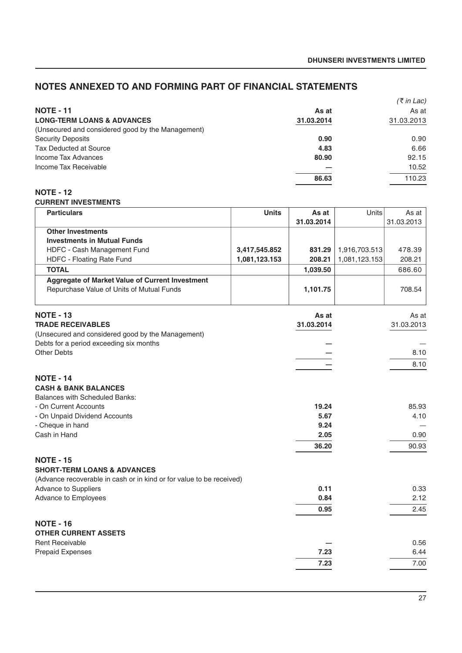|                                                   |            | ( ₹ in Lac) |
|---------------------------------------------------|------------|-------------|
| <b>NOTE - 11</b>                                  | As at      | As at       |
| <b>LONG-TERM LOANS &amp; ADVANCES</b>             | 31.03.2014 | 31.03.2013  |
| (Unsecured and considered good by the Management) |            |             |
| <b>Security Deposits</b>                          | 0.90       | 0.90        |
| Tax Deducted at Source                            | 4.83       | 6.66        |
| Income Tax Advances                               | 80.90      | 92.15       |
| Income Tax Receivable                             |            | 10.52       |
|                                                   | 86.63      | 110.23      |
|                                                   |            |             |

## **NOTE - 12**

## **CURRENT INVESTMENTS**

| <b>Particulars</b>                                                   | <b>Units</b>  | As at      | Units         | As at      |
|----------------------------------------------------------------------|---------------|------------|---------------|------------|
|                                                                      |               | 31.03.2014 |               | 31.03.2013 |
| <b>Other Investments</b>                                             |               |            |               |            |
| <b>Investments in Mutual Funds</b>                                   |               |            |               |            |
| HDFC - Cash Management Fund                                          | 3,417,545.852 | 831.29     | 1,916,703.513 | 478.39     |
| HDFC - Floating Rate Fund                                            | 1,081,123.153 | 208.21     | 1,081,123.153 | 208.21     |
| <b>TOTAL</b>                                                         |               | 1,039.50   |               | 686.60     |
| Aggregate of Market Value of Current Investment                      |               |            |               |            |
| Repurchase Value of Units of Mutual Funds                            |               | 1,101.75   |               | 708.54     |
| <b>NOTE - 13</b>                                                     |               | As at      |               | As at      |
| <b>TRADE RECEIVABLES</b>                                             |               | 31.03.2014 |               | 31.03.2013 |
| (Unsecured and considered good by the Management)                    |               |            |               |            |
| Debts for a period exceeding six months                              |               |            |               |            |
| <b>Other Debts</b>                                                   |               |            |               | 8.10       |
|                                                                      |               |            |               | 8.10       |
| <b>NOTE - 14</b>                                                     |               |            |               |            |
| <b>CASH &amp; BANK BALANCES</b>                                      |               |            |               |            |
| <b>Balances with Scheduled Banks:</b>                                |               |            |               |            |
| - On Current Accounts                                                |               | 19.24      |               | 85.93      |
| - On Unpaid Dividend Accounts                                        |               | 5.67       |               | 4.10       |
| - Cheque in hand                                                     |               | 9.24       |               |            |
| Cash in Hand                                                         |               | 2.05       |               | 0.90       |
|                                                                      |               | 36.20      |               | 90.93      |
| <b>NOTE - 15</b>                                                     |               |            |               |            |
| <b>SHORT-TERM LOANS &amp; ADVANCES</b>                               |               |            |               |            |
| (Advance recoverable in cash or in kind or for value to be received) |               |            |               |            |
| Advance to Suppliers                                                 |               | 0.11       |               | 0.33       |
| Advance to Employees                                                 |               | 0.84       |               | 2.12       |
|                                                                      |               | 0.95       |               | 2.45       |
| <b>NOTE - 16</b>                                                     |               |            |               |            |
| <b>OTHER CURRENT ASSETS</b>                                          |               |            |               |            |
| <b>Rent Receivable</b>                                               |               |            |               | 0.56       |
| <b>Prepaid Expenses</b>                                              |               | 7.23       |               | 6.44       |
|                                                                      |               | 7.23       |               | 7.00       |
|                                                                      |               |            |               |            |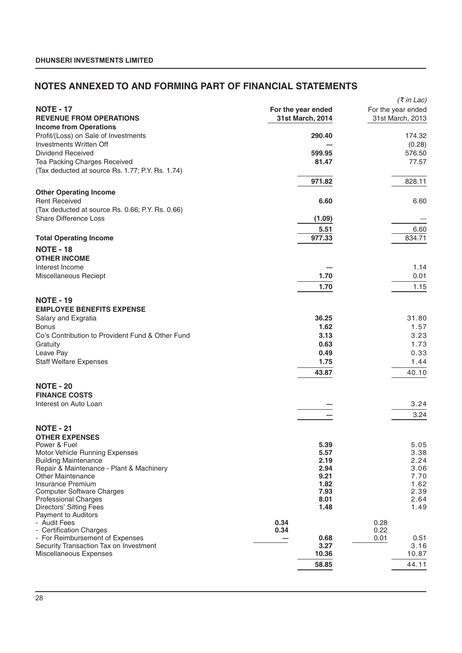|                                                              |                    | ( ₹ in Lac)        |
|--------------------------------------------------------------|--------------------|--------------------|
| <b>NOTE - 17</b>                                             | For the year ended | For the year ended |
| <b>REVENUE FROM OPERATIONS</b>                               | 31st March, 2014   | 31st March, 2013   |
| <b>Income from Operations</b>                                |                    |                    |
| Profit/(Loss) on Sale of Investments                         | 290.40             | 174.32             |
| Investments Written Off                                      |                    | (0.28)             |
| <b>Dividend Received</b>                                     | 599.95             | 576.50             |
| Tea Packing Charges Received                                 | 81.47              | 77.57              |
| (Tax deducted at source Rs. 1.77; P.Y. Rs. 1.74)             |                    |                    |
|                                                              | 971.82             | 828.11             |
| <b>Other Operating Income</b>                                |                    |                    |
| <b>Rent Received</b>                                         | 6.60               | 6.60               |
| (Tax deducted at source Rs. 0.66; P.Y. Rs. 0.66)             |                    |                    |
| <b>Share Difference Loss</b>                                 | (1.09)             |                    |
|                                                              |                    |                    |
|                                                              | 5.51               | 6.60               |
| <b>Total Operating Income</b>                                | 977.33             | 834.71             |
| <b>NOTE - 18</b>                                             |                    |                    |
| <b>OTHER INCOME</b>                                          |                    |                    |
| Interest Income                                              |                    | 1.14               |
| Miscellaneous Reciept                                        | 1.70               | 0.01               |
|                                                              | 1.70               | 1.15               |
|                                                              |                    |                    |
| <b>NOTE - 19</b>                                             |                    |                    |
| <b>EMPLOYEE BENEFITS EXPENSE</b>                             |                    |                    |
| Salary and Exgratia                                          | 36.25              | 31.80              |
| Bonus                                                        | 1.62               | 1.57               |
| Co's Contribution to Provident Fund & Other Fund             | 3.13               | 3.23               |
| Gratuity                                                     | 0.63               | 1.73               |
| Leave Pay                                                    | 0.49               | 0.33               |
| <b>Staff Welfare Expenses</b>                                | 1.75               | 1.44               |
|                                                              | 43.87              | 40.10              |
| <b>NOTE - 20</b>                                             |                    |                    |
| <b>FINANCE COSTS</b>                                         |                    |                    |
| Interest on Auto Loan                                        |                    | 3.24               |
|                                                              |                    |                    |
|                                                              |                    | 3.24               |
| <b>NOTE - 21</b>                                             |                    |                    |
| <b>OTHER EXPENSES</b>                                        |                    |                    |
| Power & Fuel                                                 | 5.39               | 5.05               |
| Motor Vehicle Running Expenses                               | 5.57               | 3.38               |
| <b>Building Maintenance</b>                                  | 2.19               | 2.24               |
| Repair & Maintenance - Plant & Machinery                     | 2.94               | 3.06               |
| <b>Other Maintenance</b>                                     | 9.21               | 7.70               |
| <b>Insurance Premium</b><br><b>Computer Software Charges</b> | 1.82<br>7.93       | 1.62<br>2.39       |
| <b>Professional Charges</b>                                  | 8.01               | 2.64               |
| Directors' Sitting Fees                                      | 1.48               | 1.49               |
| <b>Payment to Auditors</b>                                   |                    |                    |
| - Audit Fees                                                 | 0.34               | 0.28               |
| - Certification Charges                                      | 0.34               | 0.22               |
| - For Reimbursement of Expenses                              | 0.68               | 0.01<br>0.51       |
| Security Transaction Tax on Investment                       | 3.27               | 3.16               |
| Miscellaneous Expenses                                       | 10.36              | 10.87              |
|                                                              | 58.85              | 44.11              |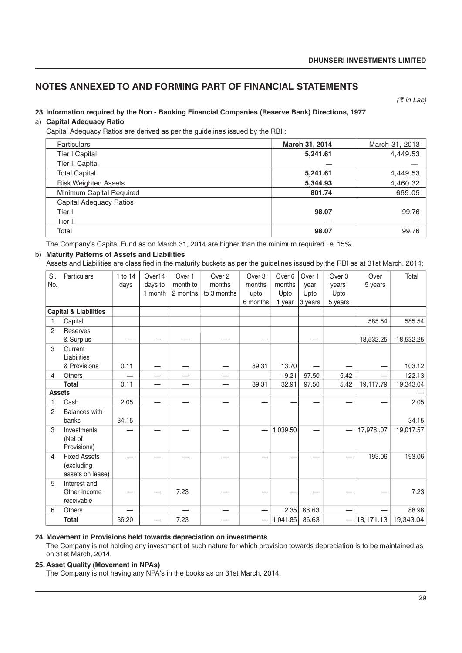$(\bar{z}$  in Lac)

## 23. Information required by the Non - Banking Financial Companies (Reserve Bank) Directions, 1977

#### a) Capital Adequacy Ratio

Capital Adequacy Ratios are derived as per the guidelines issued by the RBI :

| <b>Particulars</b>             | March 31, 2014 | March 31, 2013 |
|--------------------------------|----------------|----------------|
| Tier I Capital                 | 5,241.61       | 4,449.53       |
| <b>Tier II Capital</b>         |                |                |
| <b>Total Capital</b>           | 5,241.61       | 4,449.53       |
| <b>Risk Weighted Assets</b>    | 5,344.93       | 4,460.32       |
| Minimum Capital Required       | 801.74         | 669.05         |
| <b>Capital Adequacy Ratios</b> |                |                |
| Tier I                         | 98.07          | 99.76          |
| Tier II                        |                |                |
| Total                          | 98.07          | 99.76          |

The Company's Capital Fund as on March 31, 2014 are higher than the minimum required i.e. 15%.

#### b) Maturity Patterns of Assets and Liabilities

Assets and Liabilities are classified in the maturity buckets as per the guidelines issued by the RBI as at 31st March, 2014:

| SI.<br>No.     | Particulars                                           | 1 to 14<br>days | Over <sub>14</sub><br>days to<br>1 month | Over 1<br>month to<br>2 months | Over <sub>2</sub><br>months<br>to 3 months | Over <sub>3</sub><br>months<br>upto<br>6 months | Over <sub>6</sub><br>months<br>Upto<br>1 year | Over 1<br>vear<br>Upto<br>3 years | Over <sub>3</sub><br>years<br>Upto<br>5 years | Over<br>5 years | Total               |
|----------------|-------------------------------------------------------|-----------------|------------------------------------------|--------------------------------|--------------------------------------------|-------------------------------------------------|-----------------------------------------------|-----------------------------------|-----------------------------------------------|-----------------|---------------------|
|                | <b>Capital &amp; Liabilities</b>                      |                 |                                          |                                |                                            |                                                 |                                               |                                   |                                               |                 |                     |
| 1              | Capital                                               |                 |                                          |                                |                                            |                                                 |                                               |                                   |                                               | 585.54          | 585.54              |
| $\overline{2}$ | <b>Reserves</b><br>& Surplus                          |                 |                                          |                                |                                            |                                                 |                                               |                                   |                                               | 18,532.25       | 18,532.25           |
| 3              | Current<br>Liabilities                                |                 |                                          |                                |                                            |                                                 |                                               |                                   |                                               |                 | 103.12              |
|                | & Provisions                                          | 0.11            |                                          |                                |                                            | 89.31                                           | 13.70                                         |                                   |                                               |                 |                     |
| 4              | <b>Others</b><br><b>Total</b>                         | 0.11            |                                          |                                |                                            | 89.31                                           | 19.21<br>32.91                                | 97.50<br>97.50                    | 5.42<br>5.42                                  | 19,117.79       | 122.13<br>19,343.04 |
| <b>Assets</b>  |                                                       |                 |                                          |                                |                                            |                                                 |                                               |                                   |                                               |                 |                     |
| 1              | Cash                                                  | 2.05            |                                          |                                | $\overline{\phantom{0}}$                   |                                                 |                                               |                                   |                                               |                 | 2.05                |
| $\overline{2}$ | <b>Balances with</b><br>banks                         | 34.15           |                                          |                                |                                            |                                                 |                                               |                                   |                                               |                 | 34.15               |
| 3              | Investments<br>(Net of<br>Provisions)                 |                 |                                          |                                |                                            |                                                 | 1,039.50                                      |                                   |                                               | 17,97807        | 19,017.57           |
| 4              | <b>Fixed Assets</b><br>(excluding<br>assets on lease) |                 |                                          |                                |                                            |                                                 |                                               |                                   |                                               | 193.06          | 193.06              |
| 5              | Interest and<br>Other Income<br>receivable            |                 |                                          | 7.23                           |                                            |                                                 |                                               |                                   |                                               |                 | 7.23                |
| 6              | <b>Others</b>                                         |                 |                                          |                                | $\overline{\phantom{0}}$                   |                                                 | 2.35                                          | 86.63                             |                                               |                 | 88.98               |
|                | <b>Total</b>                                          | 36.20           |                                          | 7.23                           |                                            |                                                 | 1,041.85                                      | 86.63                             |                                               | 18,171.13       | 19,343.04           |

#### 24. Movement in Provisions held towards depreciation on investments

The Company is not holding any investment of such nature for which provision towards depreciation is to be maintained as on 31st March, 2014.

#### 25. Asset Quality (Movement in NPAs)

The Company is not having any NPA's in the books as on 31st March, 2014.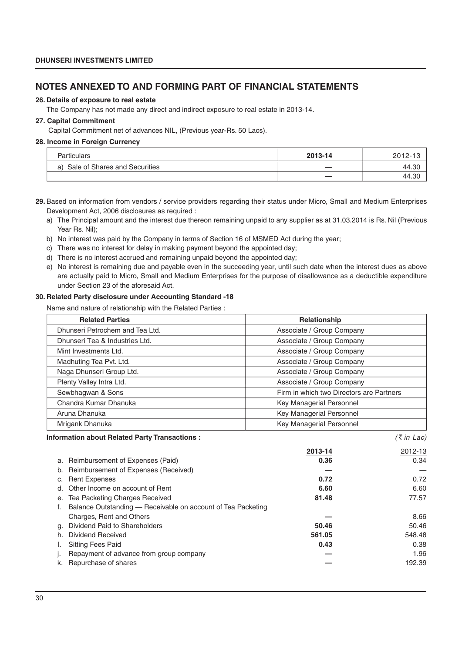#### 26. Details of exposure to real estate

The Company has not made any direct and indirect exposure to real estate in 2013-14.

#### 27. Capital Commitment

Capital Commitment net of advances NIL, (Previous year-Rs. 50 Lacs).

#### 28. Income in Foreign Currency

| Particulars                         | 2013-14 | 2012-       |
|-------------------------------------|---------|-------------|
| Sale of Shares and Securities<br>a) | __      | 44.30<br>44 |
|                                     | __      | 44.30       |

- 29. Based on information from vendors / service providers regarding their status under Micro, Small and Medium Enterprises Development Act, 2006 disclosures as required :
	- a) The Principal amount and the interest due thereon remaining unpaid to any supplier as at 31.03.2014 is Rs. Nil (Previous Year Rs. Nil);
	- b) No interest was paid by the Company in terms of Section 16 of MSMED Act during the year;
	- c) There was no interest for delay in making payment beyond the appointed day;
	- d) There is no interest accrued and remaining unpaid beyond the appointed day;
	- e) No interest is remaining due and payable even in the succeeding year, until such date when the interest dues as above are actually paid to Micro, Small and Medium Enterprises for the purpose of disallowance as a deductible expenditure under Section 23 of the aforesaid Act.

#### 30. Related Party disclosure under Accounting Standard -18

Name and nature of relationship with the Related Parties :

| <b>Related Parties</b>          | Relationship                             |
|---------------------------------|------------------------------------------|
| Dhunseri Petrochem and Tea Ltd. | Associate / Group Company                |
| Dhunseri Tea & Industries Ltd.  | Associate / Group Company                |
| Mint Investments Ltd.           | Associate / Group Company                |
| Madhuting Tea Pvt. Ltd.         | Associate / Group Company                |
| Naga Dhunseri Group Ltd.        | Associate / Group Company                |
| Plenty Valley Intra Ltd.        | Associate / Group Company                |
| Sewbhagwan & Sons               | Firm in which two Directors are Partners |
| Chandra Kumar Dhanuka           | Key Managerial Personnel                 |
| Aruna Dhanuka                   | Key Managerial Personnel                 |
| Mrigank Dhanuka                 | Key Managerial Personnel                 |

#### **Information about Related Party Transactions:**

 $(\bar{z}$  in Lac)

|                                                              | 2013-14 | 2012-13 |
|--------------------------------------------------------------|---------|---------|
| a. Reimbursement of Expenses (Paid)                          | 0.36    | 0.34    |
| b. Reimbursement of Expenses (Received)                      |         |         |
| <b>Rent Expenses</b><br>C.                                   | 0.72    | 0.72    |
| d. Other Income on account of Rent                           | 6.60    | 6.60    |
| e. Tea Packeting Charges Received                            | 81.48   | 77.57   |
| Balance Outstanding - Receivable on account of Tea Packeting |         |         |
| Charges, Rent and Others                                     |         | 8.66    |
| Dividend Paid to Shareholders<br>q.                          | 50.46   | 50.46   |
| Dividend Received<br>h.                                      | 561.05  | 548.48  |
| <b>Sitting Fees Paid</b>                                     | 0.43    | 0.38    |
| Repayment of advance from group company                      |         | 1.96    |
| Repurchase of shares                                         |         | 192.39  |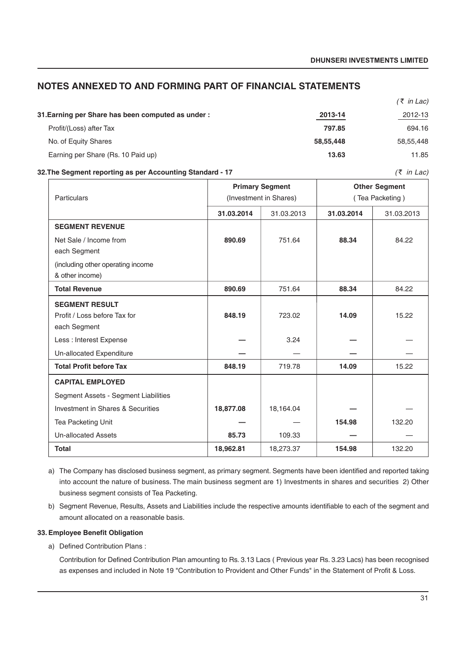|           | $(5$ <i>In Lac</i> ) |
|-----------|----------------------|
| 2013-14   | 2012-13              |
| 797.85    | 694.16               |
| 58,55,448 | 58.55.448            |
| 13.63     | 11.85                |
|           |                      |

#### 32. The Segment reporting as per Accounting Standard - 17

**Other Segment Primary Segment** Particulars (Investment in Shares) (Tea Packeting) 31.03.2014 31.03.2014 31.03.2013 31.03.2013 **SEGMENT REVENUE** 751.64 88.34 84.22 Net Sale / Income from 890.69 each Seament (including other operating income & other income) **Total Revenue** 890.69 751.64 88.34 84.22 **SEGMENT RESULT** Profit / Loss before Tax for 848.19 723.02 14.09 15.22 each Segment Less : Interest Expense  $3.24$ Un-allocated Expenditure **Total Profit before Tax** 848.19 719.78 14.09 15.22 **CAPITAL EMPLOYED** Seament Assets - Seament Liabilities Investment in Shares & Securities 18,877.08 18,164.04 Tea Packeting Unit 154.98 132.20 **Un-allocated Assets** 85.73 109.33 **Total** 18,962.81 154.98 132.20 18.273.37

a) The Company has disclosed business segment, as primary segment. Segments have been identified and reported taking into account the nature of business. The main business segment are 1) Investments in shares and securities 2) Other business segment consists of Tea Packeting.

b) Segment Revenue, Results, Assets and Liabilities include the respective amounts identifiable to each of the segment and amount allocated on a reasonable basis.

#### 33. Employee Benefit Obligation

a) Defined Contribution Plans:

Contribution for Defined Contribution Plan amounting to Rs. 3.13 Lacs ( Previous year Rs. 3.23 Lacs) has been recognised as expenses and included in Note 19 "Contribution to Provident and Other Funds" in the Statement of Profit & Loss.

 $(1 - 1)$ 

 $(3 \nvert$  in Lac)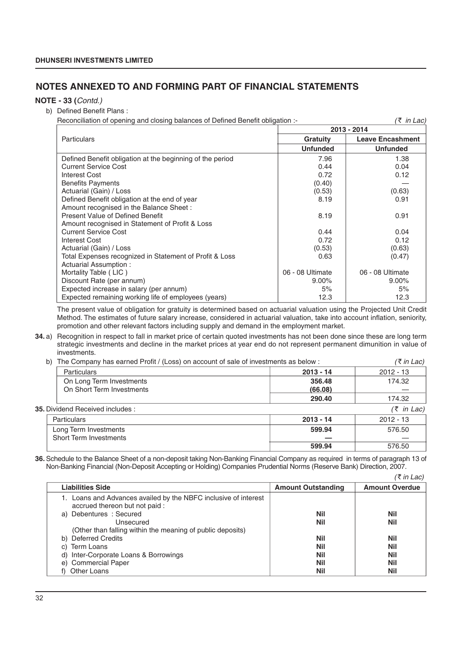#### **NOTE - 33 (Contd.)**

b) Defined Benefit Plans:

Current Service Cost

Particulars

Reconciliation of opening and closing balances of Defined Benefit obligation :-

 $(3 \nmid in Lac)$  $2013 - 2014$ Gratuity **Leave Encashment** Unfunded **Unfunded** Defined Benefit obligation at the beginning of the period 1.38 7.96  $0.44$  $0.04$ 

| 0.12             |
|------------------|
|                  |
|                  |
| (0.63)           |
| 0.91             |
|                  |
| 0.91             |
|                  |
| 0.04             |
| 0.12             |
| (0.63)           |
| (0.47)           |
|                  |
| 06 - 08 Ultimate |
| $9.00\%$         |
| 5%               |
| 12.3             |
|                  |

The present value of obligation for gratuity is determined based on actuarial valuation using the Projected Unit Credit Method. The estimates of future salary increase, considered in actuarial valuation, take into account inflation, seniority, promotion and other relevant factors including supply and demand in the employment market.

34. a) Recognition in respect to fall in market price of certain quoted investments has not been done since these are long term strategic investments and decline in the market prices at year end do not represent permanent dimunition in value of investments.

| The Company has earned Profit / (Loss) on account of sale of investments as below :<br>b) |             | $(\bar{z}$ in Lac)  |
|-------------------------------------------------------------------------------------------|-------------|---------------------|
| <b>Particulars</b>                                                                        | $2013 - 14$ | $2012 - 13$         |
| On Long Term Investments                                                                  | 356.48      | 174.32              |
| On Short Term Investments                                                                 | (66.08)     |                     |
|                                                                                           | 290.40      | 174.32              |
| <b>35.</b> Dividend Received includes:                                                    |             | $(3 \nvert$ in Lac) |
| <b>Particulars</b>                                                                        | $2013 - 14$ | $2012 - 13$         |
| Long Term Investments                                                                     | 599.94      | 576.50              |
| <b>Short Term Investments</b>                                                             |             |                     |
|                                                                                           | 599.94      | 576.50              |

36. Schedule to the Balance Sheet of a non-deposit taking Non-Banking Financial Company as required in terms of paragraph 13 of Non-Banking Financial (Non-Deposit Accepting or Holding) Companies Prudential Norms (Reserve Bank) Direction, 2007.

|                                                                                                   |                           | (₹ in Lac)            |
|---------------------------------------------------------------------------------------------------|---------------------------|-----------------------|
| <b>Liabilities Side</b>                                                                           | <b>Amount Outstanding</b> | <b>Amount Overdue</b> |
| 1. Loans and Advances availed by the NBFC inclusive of interest<br>accrued thereon but not paid : |                           |                       |
| a) Debentures : Secured                                                                           | <b>Nil</b>                | <b>Nil</b>            |
| Unsecured                                                                                         | Nil                       | Nil                   |
| (Other than falling within the meaning of public deposits)                                        |                           |                       |
| <b>Deferred Credits</b><br>b)                                                                     | Nil                       | Nil                   |
| Term Loans<br>C)                                                                                  | Nil                       | Nil                   |
| Inter-Corporate Loans & Borrowings<br>d)                                                          | Nil                       | Nil                   |
| e) Commercial Paper                                                                               | Nil                       | Nil                   |
| Other Loans                                                                                       | Nil                       | <b>Nil</b>            |
|                                                                                                   |                           |                       |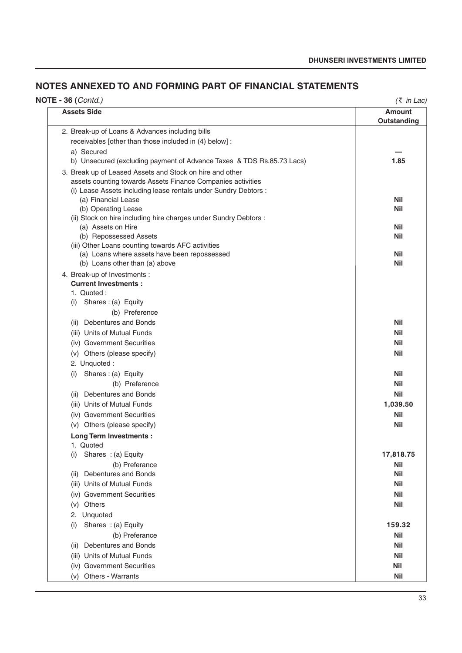| NOTE - 36 (Contd.)<br><b>Assets Side</b>                                                          | $(3 \nvert$ in Lac)<br><b>Amount</b> |
|---------------------------------------------------------------------------------------------------|--------------------------------------|
|                                                                                                   | Outstanding                          |
| 2. Break-up of Loans & Advances including bills                                                   |                                      |
| receivables [other than those included in (4) below] :                                            |                                      |
| a) Secured                                                                                        |                                      |
| b) Unsecured (excluding payment of Advance Taxes & TDS Rs.85.73 Lacs)                             | 1.85                                 |
| 3. Break up of Leased Assets and Stock on hire and other                                          |                                      |
| assets counting towards Assets Finance Companies activities                                       |                                      |
| (i) Lease Assets including lease rentals under Sundry Debtors :                                   |                                      |
| (a) Financial Lease                                                                               | Nil                                  |
| (b) Operating Lease                                                                               | <b>Nil</b>                           |
| (ii) Stock on hire including hire charges under Sundry Debtors :                                  |                                      |
| (a) Assets on Hire                                                                                | <b>Nil</b>                           |
| (b) Repossessed Assets                                                                            | <b>Nil</b>                           |
| (iii) Other Loans counting towards AFC activities<br>(a) Loans where assets have been repossessed | <b>Nil</b>                           |
| (b) Loans other than (a) above                                                                    | <b>Nil</b>                           |
|                                                                                                   |                                      |
| 4. Break-up of Investments :<br><b>Current Investments:</b>                                       |                                      |
| 1. Quoted:                                                                                        |                                      |
| (i) Shares: (a) Equity                                                                            |                                      |
| (b) Preference                                                                                    |                                      |
| (ii) Debentures and Bonds                                                                         | <b>Nil</b>                           |
| (iii) Units of Mutual Funds                                                                       | <b>Nil</b>                           |
| (iv) Government Securities                                                                        | <b>Nil</b>                           |
| (v) Others (please specify)                                                                       | <b>Nil</b>                           |
| 2. Unquoted:                                                                                      |                                      |
| Shares: (a) Equity<br>(i)                                                                         | <b>Nil</b>                           |
| (b) Preference                                                                                    | <b>Nil</b>                           |
| (ii) Debentures and Bonds                                                                         | <b>Nil</b>                           |
| (iii) Units of Mutual Funds                                                                       | 1,039.50                             |
| (iv) Government Securities                                                                        | <b>Nil</b>                           |
| (v) Others (please specify)                                                                       | <b>Nil</b>                           |
| <b>Long Term Investments:</b>                                                                     |                                      |
| 1. Quoted                                                                                         |                                      |
| Shares: (a) Equity<br>(i)                                                                         | 17,818.75                            |
| (b) Preferance                                                                                    | <b>Nil</b>                           |
| Debentures and Bonds<br>(ii)                                                                      | <b>Nil</b>                           |
| (iii) Units of Mutual Funds                                                                       | <b>Nil</b>                           |
| (iv) Government Securities                                                                        | <b>Nil</b>                           |
| Others<br>(v)                                                                                     | <b>Nil</b>                           |
| Unquoted<br>2.                                                                                    |                                      |
| Shares: (a) Equity<br>(i)                                                                         | 159.32                               |
| (b) Preferance                                                                                    | <b>Nil</b>                           |
| Debentures and Bonds<br>(ii)                                                                      | <b>Nil</b>                           |
| (iii) Units of Mutual Funds                                                                       | <b>Nil</b>                           |
| (iv) Government Securities                                                                        | <b>Nil</b>                           |
| (v) Others - Warrants                                                                             | <b>Nil</b>                           |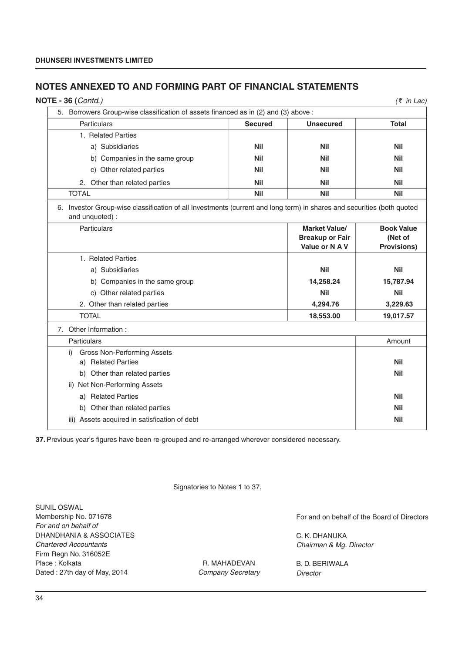| 5. Borrowers Group-wise classification of assets financed as in (2) and (3) above : |                |                                                                  |                              |
|-------------------------------------------------------------------------------------|----------------|------------------------------------------------------------------|------------------------------|
| Particulars                                                                         | <b>Secured</b> | <b>Unsecured</b>                                                 | <b>Total</b>                 |
| 1. Related Parties                                                                  |                |                                                                  |                              |
| a) Subsidiaries                                                                     | <b>Nil</b>     | <b>Nil</b>                                                       | <b>Nil</b>                   |
| b) Companies in the same group                                                      | <b>Nil</b>     | <b>Nil</b>                                                       | <b>Nil</b>                   |
| c) Other related parties                                                            | <b>Nil</b>     | <b>Nil</b>                                                       | <b>Nil</b>                   |
| 2. Other than related parties                                                       | <b>Nil</b>     | <b>Nil</b>                                                       | <b>Nil</b>                   |
| <b>TOTAL</b>                                                                        | <b>Nil</b>     | <b>Nil</b>                                                       | <b>Nil</b>                   |
| Particulars                                                                         |                | <b>Market Value/</b><br><b>Breakup or Fair</b><br>Value or N A V | <b>Book Value</b><br>(Net of |
|                                                                                     |                |                                                                  | <b>Provisions)</b>           |
| 1. Related Parties                                                                  |                |                                                                  |                              |
| a) Subsidiaries                                                                     |                | <b>Nil</b>                                                       | <b>Nil</b>                   |
| b) Companies in the same group                                                      |                | 14,258.24                                                        | 15,787.94                    |
| c) Other related parties                                                            |                | <b>Nil</b>                                                       | <b>Nil</b>                   |
| 2. Other than related parties                                                       |                | 4,294.76                                                         | 3,229.63                     |
| <b>TOTAL</b>                                                                        |                | 18,553.00                                                        | 19,017.57                    |
| 7. Other Information:                                                               |                |                                                                  |                              |
| <b>Particulars</b>                                                                  |                |                                                                  | Amount                       |
| <b>Gross Non-Performing Assets</b><br>i)<br>a) Related Parties                      |                |                                                                  | <b>Nil</b>                   |
|                                                                                     |                | Nil                                                              |                              |
| b) Other than related parties                                                       |                |                                                                  |                              |
| ii) Net Non-Performing Assets                                                       |                |                                                                  |                              |
| a) Related Parties                                                                  |                |                                                                  | <b>Nil</b>                   |
| b) Other than related parties                                                       |                |                                                                  | <b>Nil</b>                   |

37. Previous year's figures have been re-grouped and re-arranged wherever considered necessary.

Signatories to Notes 1 to 37.

**SUNIL OSWAL** Membership No. 071678 For and on behalf of **DHANDHANIA & ASSOCIATES Chartered Accountants** Firm Regn No. 316052E Place: Kolkata Dated: 27th day of May, 2014

R. MAHADEVAN **Company Secretary**  For and on behalf of the Board of Directors

C. K. DHANUKA Chairman & Mg. Director

**B. D. BERIWALA** Director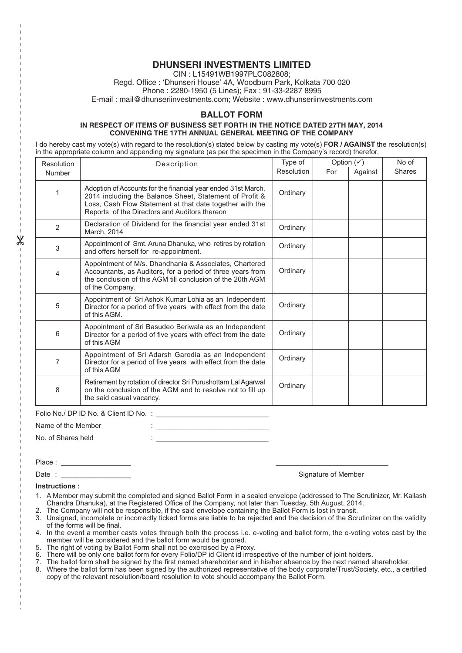## **DHUNSERI INVESTMENTS LIMITED**

CIN: L15491WB1997PLC082808:

Regd, Office: 'Dhunseri House' 4A, Woodburn Park, Kolkata 700 020

Phone: 2280-1950 (5 Lines); Fax: 91-33-2287 8995

E-mail: mail@dhunseriinvestments.com: Website: www.dhunseriinvestments.com

## **BALLOT FORM**

#### IN RESPECT OF ITEMS OF BUSINESS SET FORTH IN THE NOTICE DATED 27TH MAY, 2014 CONVENING THE 17TH ANNUAL GENERAL MEETING OF THE COMPANY

I do hereby cast my vote(s) with regard to the resolution(s) stated below by casting my vote(s) FOR / AGAINST the resolution(s) in the appropriate column and appending my signature (as per the specimen in the Company's record) therefor.

| Resolution     | Description                                                                                                                                                                                                                           |            | Option $(\checkmark)$ |         | No of         |
|----------------|---------------------------------------------------------------------------------------------------------------------------------------------------------------------------------------------------------------------------------------|------------|-----------------------|---------|---------------|
| Number         |                                                                                                                                                                                                                                       | Resolution | For                   | Against | <b>Shares</b> |
| 1              | Adoption of Accounts for the financial year ended 31st March,<br>2014 including the Balance Sheet, Statement of Profit &<br>Loss, Cash Flow Statement at that date together with the<br>Reports of the Directors and Auditors thereon | Ordinary   |                       |         |               |
| $\overline{2}$ | Declaration of Dividend for the financial year ended 31st<br>March, 2014                                                                                                                                                              | Ordinary   |                       |         |               |
| 3              | Appointment of Smt. Aruna Dhanuka, who retires by rotation<br>and offers herself for re-appointment.                                                                                                                                  | Ordinary   |                       |         |               |
| 4              | Appointment of M/s. Dhandhania & Associates, Chartered<br>Accountants, as Auditors, for a period of three years from<br>the conclusion of this AGM till conclusion of the 20th AGM<br>of the Company.                                 | Ordinary   |                       |         |               |
| 5              | Appointment of Sri Ashok Kumar Lohia as an Independent<br>Director for a period of five years with effect from the date<br>of this AGM.                                                                                               | Ordinary   |                       |         |               |
| 6              | Appointment of Sri Basudeo Beriwala as an Independent<br>Director for a period of five years with effect from the date<br>of this AGM                                                                                                 | Ordinary   |                       |         |               |
| 7              | Appointment of Sri Adarsh Garodia as an Independent<br>Director for a period of five years with effect from the date<br>of this AGM                                                                                                   | Ordinary   |                       |         |               |
| 8              | Retirement by rotation of director Sri Purushottam Lal Agarwal<br>on the conclusion of the AGM and to resolve not to fill up<br>the said casual vacancy.                                                                              | Ordinary   |                       |         |               |

Name of the Member

No. of Shares held

Date:

Signature of Member

Instructions:

1. A Member may submit the completed and signed Ballot Form in a sealed envelope (addressed to The Scrutinizer, Mr. Kailash Chandra Dhanuka), at the Registered Office of the Company, not later than Tuesday, 5th August, 2014.

2. The Company will not be responsible, if the said envelope containing the Ballot Form is lost in transit.

 $\mathcal{L} = \{ \frac{1}{2}, \frac{1}{2}, \frac{1}{2}, \frac{1}{2}, \frac{1}{2}, \frac{1}{2}, \frac{1}{2}, \frac{1}{2}, \frac{1}{2}, \frac{1}{2}, \frac{1}{2}, \frac{1}{2}, \frac{1}{2}, \frac{1}{2}, \frac{1}{2}, \frac{1}{2}, \frac{1}{2}, \frac{1}{2}, \frac{1}{2}, \frac{1}{2}, \frac{1}{2}, \frac{1}{2}, \frac{1}{2}, \frac{1}{2}, \frac{1}{2}, \frac{1}{2}, \frac{1}{2}, \frac{1}{2}, \frac{1}{2}, \frac{1}{2}, \$ 

 $\mathcal{L} = \{ \begin{bmatrix} 1 & 0 \\ 0 & 1 \end{bmatrix}, \begin{bmatrix} 1 & 0 \\ 0 & 1 \end{bmatrix}, \begin{bmatrix} 1 & 0 \\ 0 & 1 \end{bmatrix}, \begin{bmatrix} 1 & 0 \\ 0 & 1 \end{bmatrix}, \begin{bmatrix} 1 & 0 \\ 0 & 1 \end{bmatrix}, \begin{bmatrix} 1 & 0 \\ 0 & 1 \end{bmatrix}, \begin{bmatrix} 1 & 0 \\ 0 & 1 \end{bmatrix}, \begin{bmatrix} 1 & 0 \\ 0 & 1 \end{bmatrix}, \begin{bmatrix} 1 & 0 \\ 0 & 1 \end{bmatrix}, \begin{b$ 

- 3. Unsigned, incomplete or incorrectly ticked forms are liable to be rejected and the decision of the Scrutinizer on the validity of the forms will be final.
- 4. In the event a member casts votes through both the process i.e. e-voting and ballot form, the e-voting votes cast by the member will be considered and the ballot form would be janored.
- 5. The right of voting by Ballot Form shall not be exercised by a Proxy.
- 6. There will be only one ballot form for every Folio/DP id Client id irrespective of the number of joint holders.
- The ballot form shall be signed by the first named shareholder and in his/her absence by the next named shareholder.  $\overline{7}$
- Where the ballot form has been signed by the authorized representative of the body corporate/Trust/Society, etc., a certified 8. copy of the relevant resolution/board resolution to vote should accompany the Ballot Form.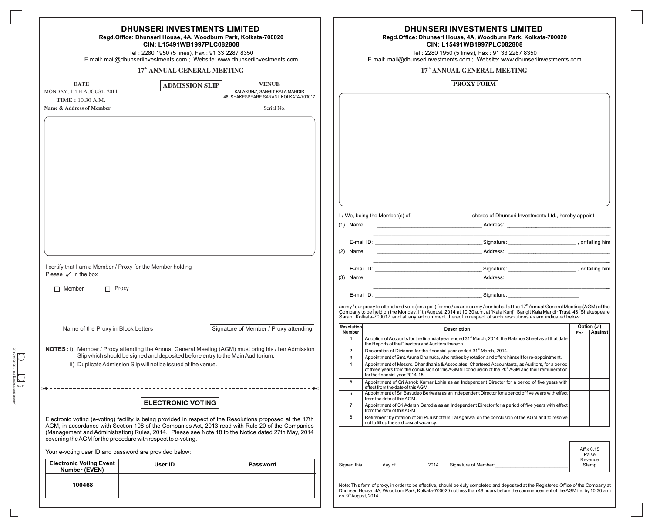| <b>DATE</b><br>MONDAY, 11TH AUGUST, 2014<br><b>TIME:</b> 10.30 A.M.<br>Name & Address of Member                                                                                  | <b>DHUNSERI INVESTMENTS LIMITED</b><br>Regd.Office: Dhunseri House, 4A, Woodburn Park, Kolkata-700020<br>CIN: L15491WB1997PLC082808<br>Tel: 2280 1950 (5 lines), Fax: 91 33 2287 8350<br>17 <sup>th</sup> ANNUAL GENERAL MEETING<br><b>ADMISSION SLIP</b> | E.mail: mail@dhunseriinvestments.com; Website: www.dhunseriinvestments.com<br><b>VENUE</b><br>KALAKUNJ', SANGIT KALA MANDIR<br>48, SHAKESPEARE SARANI, KOLKATA-700017<br>Serial No.                                                                                                                                   |                                                                      |                                                                                                                                                                             | <b>DHUNSERI INVESTMENTS LIMITED</b><br>Regd.Office: Dhunseri House, 4A, Woodburn Park, Kolkata-700020<br>CIN: L15491WB1997PLC082808<br>Tel: 2280 1950 (5 lines), Fax: 91 33 2287 8350<br>E.mail: mail@dhunseriinvestments.com; Website: www.dhunseriinvestments.com<br>17 <sup>th</sup> ANNUAL GENERAL MEETING<br><b>PROXY FORM</b>                                                                                                                                   |                                         |
|----------------------------------------------------------------------------------------------------------------------------------------------------------------------------------|-----------------------------------------------------------------------------------------------------------------------------------------------------------------------------------------------------------------------------------------------------------|-----------------------------------------------------------------------------------------------------------------------------------------------------------------------------------------------------------------------------------------------------------------------------------------------------------------------|----------------------------------------------------------------------|-----------------------------------------------------------------------------------------------------------------------------------------------------------------------------|-----------------------------------------------------------------------------------------------------------------------------------------------------------------------------------------------------------------------------------------------------------------------------------------------------------------------------------------------------------------------------------------------------------------------------------------------------------------------|-----------------------------------------|
|                                                                                                                                                                                  |                                                                                                                                                                                                                                                           |                                                                                                                                                                                                                                                                                                                       | $(1)$ Name:<br>$(2)$ Name:                                           | I / We, being the Member(s) of                                                                                                                                              | shares of Dhunseri Investments Ltd., hereby appoint<br>Signature: __________________________________, or failing him                                                                                                                                                                                                                                                                                                                                                  |                                         |
| I certify that I am a Member / Proxy for the Member holding<br>Please $\checkmark$ in the box<br>$\Box$ Proxy<br>$\Box$ Member                                                   |                                                                                                                                                                                                                                                           |                                                                                                                                                                                                                                                                                                                       | $(3)$ Name:                                                          | E-mail ID: E-mail ID:<br><u> 1989 - Johann Barbara, martin amerikan basal da</u>                                                                                            | Signature: __________________________________, or failing him<br>Address: Analysis and the state of the state of the state of the state of the state of the state of the state of the state of the state of the state of the state of the state of the state of the state of the state of the s                                                                                                                                                                       |                                         |
|                                                                                                                                                                                  |                                                                                                                                                                                                                                                           |                                                                                                                                                                                                                                                                                                                       |                                                                      |                                                                                                                                                                             | Signature: _______________________________<br>as my / our proxy to attend and vote (on a poll) for me / us and on my / our behalf at the 17 <sup>th</sup> Annual General Meeting (AGM) of the<br>Company to be held on the Monday, 11th August, 2014 at 10.30 a.m. at 'Kala Kunj', Sangit Kala Mandir Trust, 48, Shakespeare<br>Sarani, Kolkata-700017 and at any adjournment thereof in respect of such resolutions as are indicated below:                          |                                         |
| Name of the Proxy in Block Letters                                                                                                                                               | Slip which should be signed and deposited before entry to the Main Auditorium.<br>ii) Duplicate Admission Slip will not be issued at the venue.                                                                                                           | Signature of Member / Proxy attending<br>NOTES: i) Member / Proxy attending the Annual General Meeting (AGM) must bring his / her Admission                                                                                                                                                                           | Resolution<br><b>Number</b><br>$\overline{2}$<br>3<br>$\overline{4}$ | the Reports of the Directors and Auditors thereon.<br>Declaration of Dividend for the financial year ended 31 <sup>st</sup> March, 2014.<br>for the financial year 2014-15. | <b>Description</b><br>Adoption of Accounts for the financial year ended 31 <sup>st</sup> March, 2014, the Balance Sheet as at that date<br>Appointment of Smt. Aruna Dhanuka, who retires by rotation and offers himself for re-appointment.<br>Appointment of Messrs. Dhandhania & Associates, Chartered Accountants, as Auditors, for a period<br>of three years from the conclusion of this AGM till conclusion of the 20 <sup>th</sup> AGM and their remuneration | Option $(\sqrt{})$<br>For Against       |
|                                                                                                                                                                                  | <b>ELECTRONIC VOTING</b>                                                                                                                                                                                                                                  | Electronic voting (e-voting) facility is being provided in respect of the Resolutions proposed at the 17th<br>AGM, in accordance with Section 108 of the Companies Act, 2013 read with Rule 20 of the Companies<br>(Management and Administration) Rules, 2014. Please see Note 18 to the Notice dated 27th May, 2014 | -5<br>6<br>-7<br>8                                                   | effect from the date of this AGM.<br>from the date of this AGM.<br>from the date of this AGM.<br>not to fill up the said casual vacancy.                                    | Appointment of Sri Ashok Kumar Lohia as an Independent Director for a period of five years with<br>Appointment of Sri Basudeo Beriwala as an Independent Director for a period of five years with effect<br>Appointment of Sri Adarsh Garodia as an Independent Director for a period of five years with effect<br>Retirement by rotation of Sri Purushottam Lal Agarwal on the conclusion of the AGM and to resolve                                                  |                                         |
| covening the AGM for the procedure with respect to e-voting.<br>Your e-voting user ID and password are provided below:<br><b>Electronic Voting Event</b><br><b>Number (EVEN)</b> | <b>User ID</b>                                                                                                                                                                                                                                            | Password                                                                                                                                                                                                                                                                                                              |                                                                      | Signed this  day of  2014                                                                                                                                                   | Signature of Member:                                                                                                                                                                                                                                                                                                                                                                                                                                                  | Affix 0.15<br>Paise<br>Revenue<br>Stamp |
| 100468                                                                                                                                                                           |                                                                                                                                                                                                                                                           |                                                                                                                                                                                                                                                                                                                       | on 9 <sup>th</sup> August, 2014.                                     |                                                                                                                                                                             | Note: This form of proxy, in order to be effective, should be duly completed and deposited at the Registered Office of the Company at<br>Dhunseri House, 4A, Woodburn Park, Kolkata-700020 not less than 48 hours before the commencement of the AGM i.e. by 10.30 a.m                                                                                                                                                                                                |                                         |

Calcutta Marketing Ph. : 9836945105<br> $\frac{2}{\pi}$ Calcutta Marketing Ph. : 9836945105

 $\overline{\phantom{a}}$ 

 $\sqrt{2}$